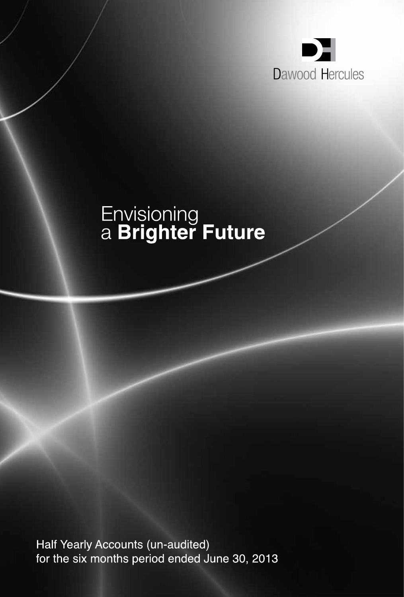

# Envisioning<br>a **Brighter Future**

Half Yearly Accounts (un-audited) for the six months period ended June 30, 2013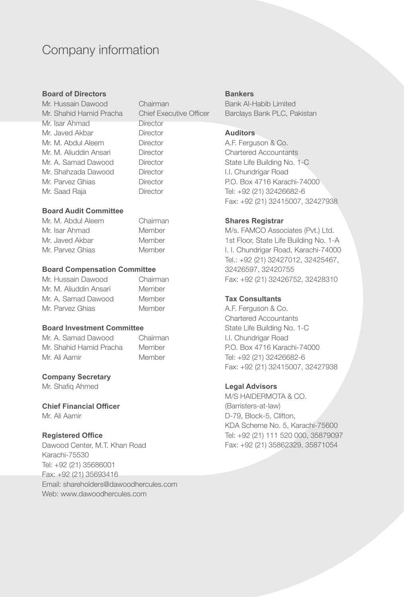## Company information

#### **Board of Directors**

Mr. Hussain Dawood Chairman Mr. Shahid Hamid Pracha Chief Executive Officer Mr. Isar Ahmad Director Mr. Javed Akbar Director Mr. M. Abdul Aleem Director Mr. M. Aliuddin Ansari Director Mr. A. Samad Dawood Director Mr. Shahzada Dawood Director Mr. Parvez Ghias **Director** Mr. Saad Raja **Director** 

#### **Board Audit Committee**

Mr. M. Abdul Aleem Chairman Mr. Isar Ahmad Member Mr. Javed Akbar Member Mr. Parvez Ghias Member

#### **Board Compensation Committee**

| Mr. Hussain Dawood     | Chairman |
|------------------------|----------|
| Mr. M. Aliuddin Ansari | Member   |
| Mr. A. Samad Dawood    | Member   |
| Mr. Parvez Ghias       | Member   |

#### **Board Investment Committee**

Mr. A. Samad Dawood Chairman Mr. Shahid Hamid Pracha Member Mr. Ali Aamir Member

#### **Company Secretary**

Mr. Shafiq Ahmed

#### **Chief Financial Officer**

Mr. Ali Aamir

#### **Registered Office**

Dawood Center, M.T. Khan Road Karachi-75530 Tel: +92 (21) 35686001 Fax: +92 (21) 35693416 Email: shareholders@dawoodhercules.com Web: www.dawoodhercules.com

#### **Bankers**

Bank Al-Habib Limited Barclays Bank PLC, Pakistan

#### **Auditors**

A.F. Ferguson & Co. Chartered Accountants State Life Building No. 1-C I.I. Chundrigar Road P.O. Box 4716 Karachi-74000 Tel: +92 (21) 32426682-6 Fax: +92 (21) 32415007, 32427938

#### **Shares Registrar**

M/s. FAMCO Associates (Pvt.) Ltd. 1st Floor, State Life Building No. 1-A I. I. Chundrigar Road, Karachi-74000 Tel.: +92 (21) 32427012, 32425467, 32426597, 32420755 Fax: +92 (21) 32426752, 32428310

#### **Tax Consultants**

A.F. Ferguson & Co. Chartered Accountants State Life Building No. 1-C I.I. Chundrigar Road P.O. Box 4716 Karachi-74000 Tel: +92 (21) 32426682-6 Fax: +92 (21) 32415007, 32427938

#### **Legal Advisors**

M/S HAIDERMOTA & CO. (Barristers-at-law) D-79, Block-5, Clifton, KDA Scheme No. 5, Karachi-75600 Tel: +92 (21) 111 520 000, 35879097 Fax: +92 (21) 35862329, 35871054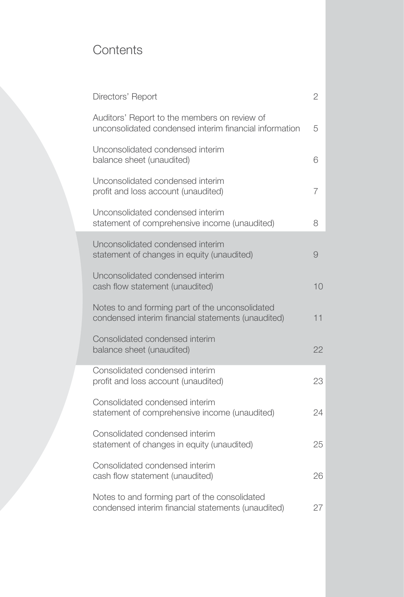## **Contents**

| Directors' Report                                                                                      | $\overline{2}$ |
|--------------------------------------------------------------------------------------------------------|----------------|
| Auditors' Report to the members on review of<br>unconsolidated condensed interim financial information | 5              |
| Unconsolidated condensed interim<br>balance sheet (unaudited)                                          | 6              |
| Unconsolidated condensed interim<br>profit and loss account (unaudited)                                | 7              |
| Unconsolidated condensed interim<br>statement of comprehensive income (unaudited)                      | 8              |
| Unconsolidated condensed interim<br>statement of changes in equity (unaudited)                         | 9              |
| Unconsolidated condensed interim<br>cash flow statement (unaudited)                                    | 10             |
| Notes to and forming part of the unconsolidated<br>condensed interim financial statements (unaudited)  | 11             |
| Consolidated condensed interim<br>balance sheet (unaudited)                                            | 22             |
| Consolidated condensed interim<br>profit and loss account (unaudited)                                  | 23             |
| Consolidated condensed interim<br>statement of comprehensive income (unaudited)                        | 24             |
| Consolidated condensed interim<br>statement of changes in equity (unaudited)                           | 25             |
| Consolidated condensed interim<br>cash flow statement (unaudited)                                      | 26             |
| Notes to and forming part of the consolidated<br>condensed interim financial statements (unaudited)    | 27             |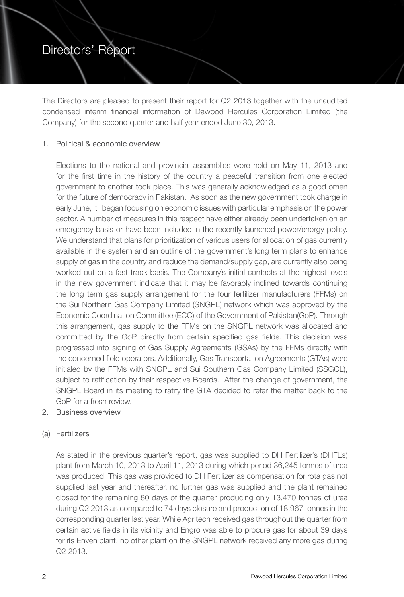## Directors' Report

The Directors are pleased to present their report for Q2 2013 together with the unaudited condensed interim financial information of Dawood Hercules Corporation Limited (the Company) for the second quarter and half year ended June 30, 2013.

#### 1. Political & economic overview

Elections to the national and provincial assemblies were held on May 11, 2013 and for the first time in the history of the country a peaceful transition from one elected government to another took place. This was generally acknowledged as a good omen for the future of democracy in Pakistan. As soon as the new government took charge in early June, it began focusing on economic issues with particular emphasis on the power sector. A number of measures in this respect have either already been undertaken on an emergency basis or have been included in the recently launched power/energy policy. We understand that plans for prioritization of various users for allocation of gas currently available in the system and an outline of the government's long term plans to enhance supply of gas in the country and reduce the demand/supply gap, are currently also being worked out on a fast track basis. The Company's initial contacts at the highest levels in the new government indicate that it may be favorably inclined towards continuing the long term gas supply arrangement for the four fertilizer manufacturers (FFMs) on the Sui Northern Gas Company Limited (SNGPL) network which was approved by the Economic Coordination Committee (ECC) of the Government of Pakistan(GoP). Through this arrangement, gas supply to the FFMs on the SNGPL network was allocated and committed by the GoP directly from certain specified gas fields. This decision was progressed into signing of Gas Supply Agreements (GSAs) by the FFMs directly with the concerned field operators. Additionally, Gas Transportation Agreements (GTAs) were initialed by the FFMs with SNGPL and Sui Southern Gas Company Limited (SSGCL), subject to ratification by their respective Boards. After the change of government, the SNGPL Board in its meeting to ratify the GTA decided to refer the matter back to the GoP for a fresh review.

#### 2. Business overview

#### (a) Fertilizers

As stated in the previous quarter's report, gas was supplied to DH Fertilizer's (DHFL's) plant from March 10, 2013 to April 11, 2013 during which period 36,245 tonnes of urea was produced. This gas was provided to DH Fertilizer as compensation for rota gas not supplied last year and thereafter, no further gas was supplied and the plant remained closed for the remaining 80 days of the quarter producing only 13,470 tonnes of urea during Q2 2013 as compared to 74 days closure and production of 18,967 tonnes in the corresponding quarter last year. While Agritech received gas throughout the quarter from certain active fields in its vicinity and Engro was able to procure gas for about 39 days for its Enven plant, no other plant on the SNGPL network received any more gas during Q2 2013.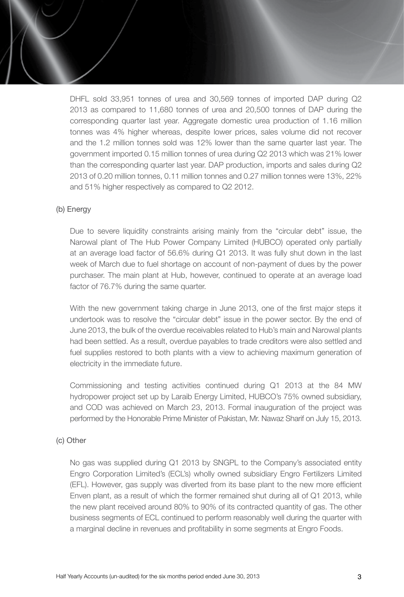DHFL sold 33,951 tonnes of urea and 30,569 tonnes of imported DAP during Q2 2013 as compared to 11,680 tonnes of urea and 20,500 tonnes of DAP during the corresponding quarter last year. Aggregate domestic urea production of 1.16 million tonnes was 4% higher whereas, despite lower prices, sales volume did not recover and the 1.2 million tonnes sold was 12% lower than the same quarter last year. The government imported 0.15 million tonnes of urea during Q2 2013 which was 21% lower than the corresponding quarter last year. DAP production, imports and sales during Q2 2013 of 0.20 million tonnes, 0.11 million tonnes and 0.27 million tonnes were 13%, 22% and 51% higher respectively as compared to Q2 2012.

#### (b) Energy

Due to severe liquidity constraints arising mainly from the "circular debt" issue, the Narowal plant of The Hub Power Company Limited (HUBCO) operated only partially at an average load factor of 56.6% during Q1 2013. It was fully shut down in the last week of March due to fuel shortage on account of non-payment of dues by the power purchaser. The main plant at Hub, however, continued to operate at an average load factor of 76.7% during the same quarter.

With the new government taking charge in June 2013, one of the first major steps it undertook was to resolve the "circular debt" issue in the power sector. By the end of June 2013, the bulk of the overdue receivables related to Hub's main and Narowal plants had been settled. As a result, overdue payables to trade creditors were also settled and fuel supplies restored to both plants with a view to achieving maximum generation of electricity in the immediate future.

Commissioning and testing activities continued during Q1 2013 at the 84 MW hydropower project set up by Laraib Energy Limited, HUBCO's 75% owned subsidiary, and COD was achieved on March 23, 2013. Formal inauguration of the project was performed by the Honorable Prime Minister of Pakistan, Mr. Nawaz Sharif on July 15, 2013.

#### (c) Other

No gas was supplied during Q1 2013 by SNGPL to the Company's associated entity Engro Corporation Limited's (ECL's) wholly owned subsidiary Engro Fertilizers Limited (EFL). However, gas supply was diverted from its base plant to the new more efficient Enven plant, as a result of which the former remained shut during all of Q1 2013, while the new plant received around 80% to 90% of its contracted quantity of gas. The other business segments of ECL continued to perform reasonably well during the quarter with a marginal decline in revenues and profitability in some segments at Engro Foods.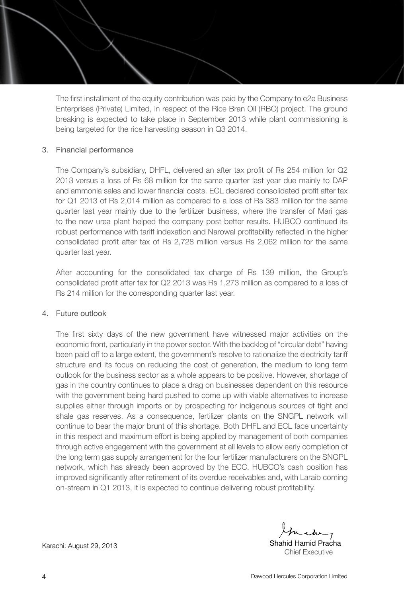The first installment of the equity contribution was paid by the Company to e2e Business Enterprises (Private) Limited, in respect of the Rice Bran Oil (RBO) project. The ground breaking is expected to take place in September 2013 while plant commissioning is being targeted for the rice harvesting season in Q3 2014.

#### 3. Financial performance

The Company's subsidiary, DHFL, delivered an after tax profit of Rs 254 million for Q2 2013 versus a loss of Rs 68 million for the same quarter last year due mainly to DAP and ammonia sales and lower financial costs. ECL declared consolidated profit after tax for Q1 2013 of Rs 2,014 million as compared to a loss of Rs 383 million for the same quarter last year mainly due to the fertilizer business, where the transfer of Mari gas to the new urea plant helped the company post better results. HUBCO continued its robust performance with tariff indexation and Narowal profitability reflected in the higher consolidated profit after tax of Rs 2,728 million versus Rs 2,062 million for the same quarter last year.

After accounting for the consolidated tax charge of Rs 139 million, the Group's consolidated profit after tax for Q2 2013 was Rs 1,273 million as compared to a loss of Rs 214 million for the corresponding quarter last year.

#### 4. Future outlook

The first sixty days of the new government have witnessed major activities on the economic front, particularly in the power sector. With the backlog of "circular debt" having been paid off to a large extent, the government's resolve to rationalize the electricity tariff structure and its focus on reducing the cost of generation, the medium to long term outlook for the business sector as a whole appears to be positive. However, shortage of gas in the country continues to place a drag on businesses dependent on this resource with the government being hard pushed to come up with viable alternatives to increase supplies either through imports or by prospecting for indigenous sources of tight and shale gas reserves. As a consequence, fertilizer plants on the SNGPL network will continue to bear the major brunt of this shortage. Both DHFL and ECL face uncertainty in this respect and maximum effort is being applied by management of both companies through active engagement with the government at all levels to allow early completion of the long term gas supply arrangement for the four fertilizer manufacturers on the SNGPL network, which has already been approved by the ECC. HUBCO's cash position has improved significantly after retirement of its overdue receivables and, with Laraib coming on-stream in Q1 2013, it is expected to continue delivering robust profitability.

Chief Executive

Karachi: August 29, 2013 **Karachi: August 29, 2013** Shahid Hamid Pracha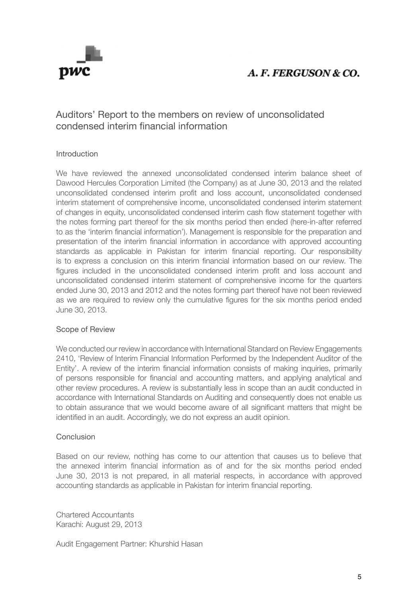

## A. F. FERGUSON & CO.

#### Auditors' Report to the members on review of unconsolidated condensed interim financial information

#### Introduction

We have reviewed the annexed unconsolidated condensed interim balance sheet of Dawood Hercules Corporation Limited (the Company) as at June 30, 2013 and the related unconsolidated condensed interim profit and loss account, unconsolidated condensed interim statement of comprehensive income, unconsolidated condensed interim statement of changes in equity, unconsolidated condensed interim cash flow statement together with the notes forming part thereof for the six months period then ended (here-in-after referred to as the 'interim financial information'). Management is responsible for the preparation and presentation of the interim financial information in accordance with approved accounting standards as applicable in Pakistan for interim financial reporting. Our responsibility is to express a conclusion on this interim financial information based on our review. The figures included in the unconsolidated condensed interim profit and loss account and unconsolidated condensed interim statement of comprehensive income for the quarters ended June 30, 2013 and 2012 and the notes forming part thereof have not been reviewed as we are required to review only the cumulative figures for the six months period ended June 30, 2013.

#### Scope of Review

We conducted our review in accordance with International Standard on Review Engagements 2410, 'Review of Interim Financial Information Performed by the Independent Auditor of the Entity'. A review of the interim financial information consists of making inquiries, primarily of persons responsible for financial and accounting matters, and applying analytical and other review procedures. A review is substantially less in scope than an audit conducted in accordance with International Standards on Auditing and consequently does not enable us to obtain assurance that we would become aware of all significant matters that might be identified in an audit. Accordingly, we do not express an audit opinion.

#### Conclusion

Based on our review, nothing has come to our attention that causes us to believe that the annexed interim financial information as of and for the six months period ended June 30, 2013 is not prepared, in all material respects, in accordance with approved accounting standards as applicable in Pakistan for interim financial reporting.

Chartered Accountants Karachi: August 29, 2013

Audit Engagement Partner: Khurshid Hasan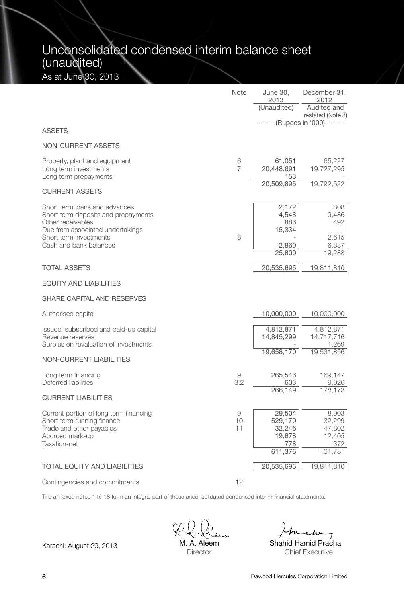## Unconsolidated condensed interim balance sheet (unaudited) As at June 30, 2013

|                                                                                                                                                                                   | Note                | June 30,<br>2013<br>(Unaudited)                         | December 31,<br>2012<br>Audited and<br>restated (Note 3) |
|-----------------------------------------------------------------------------------------------------------------------------------------------------------------------------------|---------------------|---------------------------------------------------------|----------------------------------------------------------|
| <b>ASSETS</b>                                                                                                                                                                     |                     |                                                         | ------- (Rupees in '000) -------                         |
| <b>NON-CURRENT ASSETS</b>                                                                                                                                                         |                     |                                                         |                                                          |
| Property, plant and equipment<br>Long term investments<br>Long term prepayments                                                                                                   | 6<br>$\overline{7}$ | 61,051<br>20,448,691<br>153                             | 65,227<br>19,727,295                                     |
| <b>CURRENT ASSETS</b>                                                                                                                                                             |                     | 20,509,895                                              | 19,792,522                                               |
| Short term loans and advances<br>Short term deposits and prepayments<br>Other receivables<br>Due from associated undertakings<br>Short term investments<br>Cash and bank balances | 8                   | 2,172<br>4,548<br>886<br>15,334<br>2,860<br>25,800      | 308<br>9,486<br>492<br>2,615<br>6,387<br>19,288          |
| <b>TOTAL ASSETS</b>                                                                                                                                                               |                     | 20,535,695                                              | 19,811,810                                               |
| <b>EQUITY AND LIABILITIES</b>                                                                                                                                                     |                     |                                                         |                                                          |
| SHARE CAPITAL AND RESERVES                                                                                                                                                        |                     |                                                         |                                                          |
| Authorised capital                                                                                                                                                                |                     | 10,000,000                                              | 10,000,000                                               |
| Issued, subscribed and paid-up capital<br>Revenue reserves<br>Surplus on revaluation of investments                                                                               |                     | 4,812,871<br>14,845,299                                 | 4,812,871<br>14,717,716<br>1,269                         |
| <b>NON-CURRENT LIABILITIES</b>                                                                                                                                                    |                     | 19,658,170                                              | 19,531,856                                               |
| Long term financing<br>Deferred liabilities                                                                                                                                       | 9<br>3.2            | 265,546<br>603<br>266,149                               | 169,147<br>9,026<br>178,173                              |
| <b>CURRENT LIABILITIES</b>                                                                                                                                                        |                     |                                                         |                                                          |
| Current portion of long term financing<br>Short term running finance<br>Trade and other payables<br>Accrued mark-up<br>Taxation-net                                               | 9<br>10<br>11       | 29,504<br>529,170<br>32,246<br>19,678<br>778<br>611,376 | 8,903<br>32,299<br>47,802<br>12,405<br>372<br>101,781    |
| <b>TOTAL EQUITY AND LIABILITIES</b>                                                                                                                                               |                     | 20,535,695                                              | 19,811,810                                               |
| Contingencies and commitments                                                                                                                                                     | 12                  |                                                         |                                                          |

The annexed notes 1 to 18 form an integral part of these unconsolidated condensed interim financial statements.

Karachi: August 29, 2013 M. A. Aleem Shahid Hamid Pracha M. A. Aleem **Director** 

ehr

Chief Executive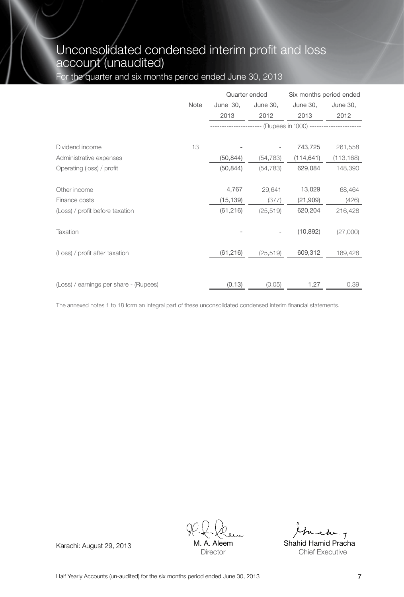## Unconsolidated condensed interim profit and loss account (unaudited)

For the quarter and six months period ended June 30, 2013

|                                        |      | Quarter ended |           | Six months period ended |            |
|----------------------------------------|------|---------------|-----------|-------------------------|------------|
|                                        | Note | June 30,      | June 30,  | June 30,                | June 30,   |
|                                        |      | 2013          | 2012      | 2013                    | 2012       |
|                                        |      |               |           | -- (Rupees in '000) --- |            |
| Dividend income                        | 13   |               |           | 743,725                 | 261,558    |
| Administrative expenses                |      | (50, 844)     | (54, 783) | (114, 641)              | (113, 168) |
| Operating (loss) / profit              |      | (50, 844)     | (54, 783) | 629,084                 | 148,390    |
| Other income                           |      | 4,767         | 29,641    | 13,029                  | 68,464     |
| Finance costs                          |      | (15, 139)     | (377)     | (21, 909)               | (426)      |
| (Loss) / profit before taxation        |      | (61, 216)     | (25, 519) | 620,204                 | 216,428    |
| Taxation                               |      |               |           | (10, 892)               | (27,000)   |
| (Loss) / profit after taxation         |      | (61, 216)     | (25, 519) | 609,312                 | 189,428    |
|                                        |      |               |           |                         |            |
| (Loss) / earnings per share - (Rupees) |      | (0.13)        | (0.05)    | 1.27                    | 0.39       |

The annexed notes 1 to 18 form an integral part of these unconsolidated condensed interim financial statements.

Karachi: August 29, 2013 M.A. Aleem Shahid Hamid Pracha Aleem **Director** 

Chief Executive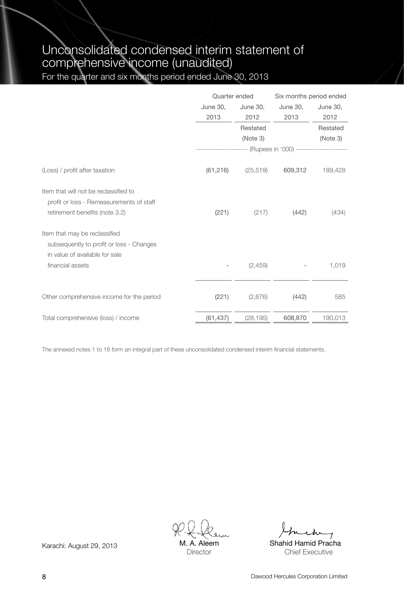## Unconsolidated condensed interim statement of comprehensive income (unaudited)

For the quarter and six months period ended June 30, 2013

|                                           |                 | Quarter ended        | Six months period ended                                      |          |  |
|-------------------------------------------|-----------------|----------------------|--------------------------------------------------------------|----------|--|
|                                           | <b>June 30,</b> | June 30,<br>June 30, |                                                              | June 30, |  |
|                                           | 2013            | 2012                 | 2013                                                         | 2012     |  |
|                                           |                 | Restated             |                                                              | Restated |  |
|                                           |                 | (Note 3)             |                                                              | (Note 3) |  |
|                                           |                 |                      | --------------------- (Rupees in '000) --------------------- |          |  |
| (Loss) / profit after taxation            | (61, 216)       | (25, 519)            | 609,312                                                      | 189,428  |  |
| Item that will not be reclassified to     |                 |                      |                                                              |          |  |
| profit or loss - Remeasurements of staff  |                 |                      |                                                              |          |  |
| retirement benefits (note 3.2)            | (221)           | (217)                | (442)                                                        | (434)    |  |
| Item that may be reclassified             |                 |                      |                                                              |          |  |
| subsequently to profit or loss - Changes  |                 |                      |                                                              |          |  |
| in value of available for sale            |                 |                      |                                                              |          |  |
| financial assets                          |                 | (2,459)              |                                                              | 1,019    |  |
|                                           |                 |                      |                                                              |          |  |
| Other comprehensive income for the period | (221)           | (2,676)              | (442)                                                        | 585      |  |
| Total comprehensive (loss) / income       | (61, 437)       | (28, 195)            | 608,870                                                      | 190,013  |  |

The annexed notes 1 to 18 form an integral part of these unconsolidated condensed interim financial statements.

A. Aleem **Director** 

Karachi: August 29, 2013 M. A. Aleem Shahid Hamid Pracha Chief Executive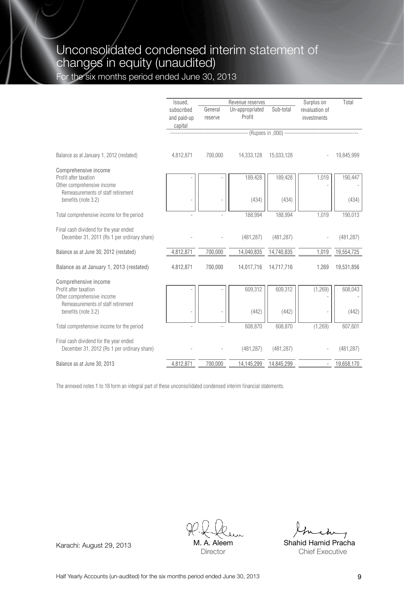### Unconsolidated condensed interim statement of changes in equity (unaudited) For the six months period ended June 30, 2013

|                                                                                           | Issued.                              |                    | Revenue reserves          |                               | Surplus on                    | Total      |
|-------------------------------------------------------------------------------------------|--------------------------------------|--------------------|---------------------------|-------------------------------|-------------------------------|------------|
|                                                                                           | subscribed<br>and paid-up<br>capital | General<br>reserve | Un-appropriated<br>Profit | Sub-total                     | revaluation of<br>investments |            |
|                                                                                           |                                      |                    |                           | -- (Rupees in .000) --------- |                               |            |
| Balance as at January 1, 2012 (restated)                                                  | 4.812.871                            | 700.000            | 14.333.128                | 15.033.128                    |                               | 19.845.999 |
| Comprehensive income                                                                      |                                      |                    |                           |                               |                               |            |
| Profit after taxation<br>Other comprehensive income<br>Remeasurements of staff retirement |                                      |                    | 189,428                   | 189,428                       | 1,019                         | 190,447    |
| benefits (note 3.2)                                                                       |                                      |                    | (434)                     | (434)                         |                               | (434)      |
| Total comprehensive income for the period                                                 |                                      |                    | 188.994                   | 188.994                       | 1.019                         | 190,013    |
| Final cash dividend for the year ended<br>December 31, 2011 (Rs 1 per ordinary share)     |                                      |                    | (481, 287)                | (481, 287)                    |                               | (481, 287) |
| Balance as at June 30, 2012 (restated)                                                    | 4.812.871                            | 700.000            | 14,040,835                | 14,740,835                    | 1.019                         | 19,554,725 |
| Balance as at January 1, 2013 (restated)                                                  | 4,812,871                            | 700,000            | 14,017,716                | 14,717,716                    | 1,269                         | 19,531,856 |
| Comprehensive income                                                                      |                                      |                    |                           |                               |                               |            |
| Profit after taxation<br>Other comprehensive income                                       |                                      |                    | 609,312                   | 609,312                       | (1,269)                       | 608.043    |
| Remeasurements of staff retirement<br>benefits (note 3.2)                                 |                                      |                    | (442)                     | (442)                         |                               | (442)      |
| Total comprehensive income for the period                                                 |                                      |                    | 608,870                   | 608.870                       | (1,269)                       | 607,601    |
| Final cash dividend for the year ended<br>December 31, 2012 (Rs 1 per ordinary share)     |                                      |                    | (481, 287)                | (481, 287)                    |                               | (481, 287) |
| Balance as at June 30, 2013                                                               | 4.812.871                            | 700.000            | 14.145.299                | 14.845.299                    |                               | 19.658.170 |

The annexed notes 1 to 18 form an integral part of these unconsolidated condensed interim financial statements.

Karachi: August 29, 2013 M.A. Aleem Shahid Hamid Pracha **Aleem Director** 

Chief Executive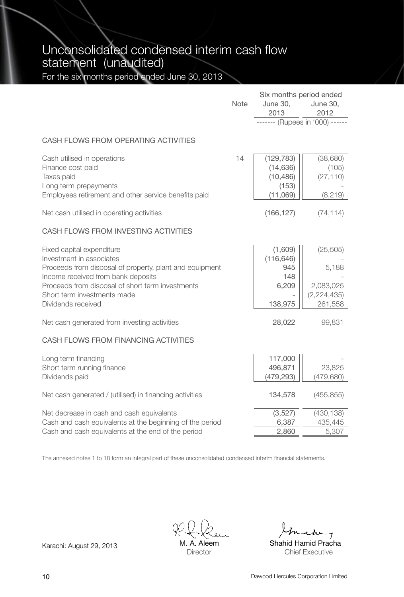Unconsolidated condensed interim cash flow statement (unaudited)

For the six months period ended June 30, 2013

|                                                                                                                                                                                                                                                                 | Note | June 30,<br>2013                                          | June 30,<br>2012                                            |
|-----------------------------------------------------------------------------------------------------------------------------------------------------------------------------------------------------------------------------------------------------------------|------|-----------------------------------------------------------|-------------------------------------------------------------|
|                                                                                                                                                                                                                                                                 |      | ------ (Rupees in '000) ------                            |                                                             |
| CASH FLOWS FROM OPERATING ACTIVITIES                                                                                                                                                                                                                            |      |                                                           |                                                             |
| Cash utilised in operations<br>Finance cost paid<br>Taxes paid<br>Long term prepayments<br>Employees retirement and other service benefits paid                                                                                                                 | 14   | (129, 783)<br>(14, 636)<br>(10, 486)<br>(153)<br>(11,069) | (38, 680)<br>(105)<br>(27, 110)<br>(8, 219)                 |
| Net cash utilised in operating activities                                                                                                                                                                                                                       |      | (166, 127)                                                | (74, 114)                                                   |
| CASH FLOWS FROM INVESTING ACTIVITIES                                                                                                                                                                                                                            |      |                                                           |                                                             |
| Fixed capital expenditure<br>Investment in associates<br>Proceeds from disposal of property, plant and equipment<br>Income received from bank deposits<br>Proceeds from disposal of short term investments<br>Short term investments made<br>Dividends received |      | (1,609)<br>(116, 646)<br>945<br>148<br>6,209<br>138,975   | (25, 505)<br>5,188<br>2,083,025<br>(2, 224, 435)<br>261,558 |
| Net cash generated from investing activities                                                                                                                                                                                                                    |      | 28,022                                                    | 99,831                                                      |
| CASH FLOWS FROM FINANCING ACTIVITIES                                                                                                                                                                                                                            |      |                                                           |                                                             |
| Long term financing<br>Short term running finance<br>Dividends paid                                                                                                                                                                                             |      | 117,000<br>496,871<br>(479, 293)                          | 23,825<br>(479, 680)                                        |
| Net cash generated / (utilised) in financing activities                                                                                                                                                                                                         |      | 134,578                                                   | (455, 855)                                                  |
| Net decrease in cash and cash equivalents<br>Cash and cash equivalents at the beginning of the period<br>Cash and cash equivalents at the end of the period                                                                                                     |      | (3,527)<br>6,387<br>2,860                                 | (430, 138)<br>435,445<br>5,307                              |

The annexed notes 1 to 18 form an integral part of these unconsolidated condensed interim financial statements.

M. A. Aleem **Director** 

Six months period ended

Karachi: August 29, 2013 M. A. Aleem Shahid Hamid Pracha Chief Executive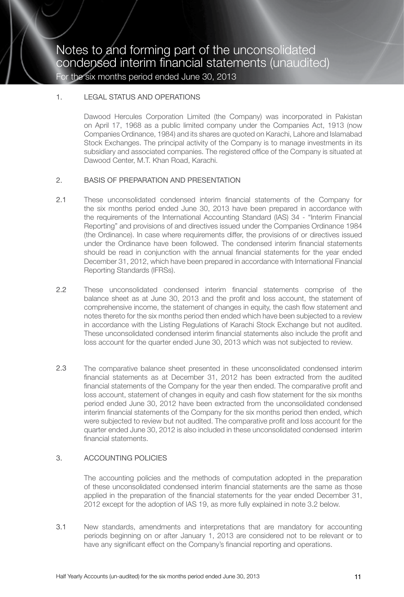#### 1. LEGAL STATUS AND OPERATIONS

Dawood Hercules Corporation Limited (the Company) was incorporated in Pakistan on April 17, 1968 as a public limited company under the Companies Act, 1913 (now Companies Ordinance, 1984) and its shares are quoted on Karachi, Lahore and Islamabad Stock Exchanges. The principal activity of the Company is to manage investments in its subsidiary and associated companies. The registered office of the Company is situated at Dawood Center, M.T. Khan Road, Karachi.

#### 2. BASIS OF PREPARATION AND PRESENTATION

- 2.1 These unconsolidated condensed interim financial statements of the Company for the six months period ended June 30, 2013 have been prepared in accordance with the requirements of the International Accounting Standard (IAS) 34 - "Interim Financial Reporting" and provisions of and directives issued under the Companies Ordinance 1984 (the Ordinance). In case where requirements differ, the provisions of or directives issued under the Ordinance have been followed. The condensed interim financial statements should be read in conjunction with the annual financial statements for the year ended December 31, 2012, which have been prepared in accordance with International Financial Reporting Standards (IFRSs).
- 2.2 These unconsolidated condensed interim financial statements comprise of the balance sheet as at June 30, 2013 and the profit and loss account, the statement of comprehensive income, the statement of changes in equity, the cash flow statement and notes thereto for the six months period then ended which have been subjected to a review in accordance with the Listing Regulations of Karachi Stock Exchange but not audited. These unconsolidated condensed interim financial statements also include the profit and loss account for the quarter ended June 30, 2013 which was not subjected to review.
- 2.3 The comparative balance sheet presented in these unconsolidated condensed interim financial statements as at December 31, 2012 has been extracted from the audited financial statements of the Company for the year then ended. The comparative profit and loss account, statement of changes in equity and cash flow statement for the six months period ended June 30, 2012 have been extracted from the unconsolidated condensed interim financial statements of the Company for the six months period then ended, which were subjected to review but not audited. The comparative profit and loss account for the quarter ended June 30, 2012 is also included in these unconsolidated condensed interim financial statements.

#### 3. ACCOUNTING POLICIES

The accounting policies and the methods of computation adopted in the preparation of these unconsolidated condensed interim financial statements are the same as those applied in the preparation of the financial statements for the year ended December 31, 2012 except for the adoption of IAS 19, as more fully explained in note 3.2 below.

3.1 New standards, amendments and interpretations that are mandatory for accounting periods beginning on or after January 1, 2013 are considered not to be relevant or to have any significant effect on the Company's financial reporting and operations.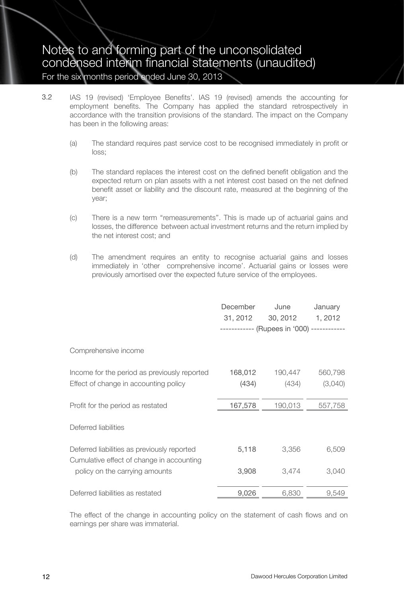- 3.2 IAS 19 (revised) 'Employee Benefits'. IAS 19 (revised) amends the accounting for employment benefits. The Company has applied the standard retrospectively in accordance with the transition provisions of the standard. The impact on the Company has been in the following areas:
	- (a) The standard requires past service cost to be recognised immediately in profit or loss;
	- (b) The standard replaces the interest cost on the defined benefit obligation and the expected return on plan assets with a net interest cost based on the net defined benefit asset or liability and the discount rate, measured at the beginning of the year;
	- (c) There is a new term ''remeasurements''. This is made up of actuarial gains and losses, the difference between actual investment returns and the return implied by the net interest cost; and
	- (d) The amendment requires an entity to recognise actuarial gains and losses immediately in 'other comprehensive income'. Actuarial gains or losses were previously amortised over the expected future service of the employees.

|                                                                                       | December<br>31, 2012 | June<br>30, 2012                           | January<br>1,2012  |
|---------------------------------------------------------------------------------------|----------------------|--------------------------------------------|--------------------|
|                                                                                       |                      | ------------ (Rupees in '000) ------------ |                    |
| Comprehensive income                                                                  |                      |                                            |                    |
| Income for the period as previously reported<br>Effect of change in accounting policy | 168,012<br>(434)     | 190,447<br>(434)                           | 560,798<br>(3,040) |
| Profit for the period as restated                                                     | 167,578              | 190,013                                    | 557,758            |
| Deferred liabilities                                                                  |                      |                                            |                    |
| Deferred liabilities as previously reported                                           | 5,118                | 3,356                                      | 6,509              |
| Cumulative effect of change in accounting<br>policy on the carrying amounts           | 3,908                | 3.474                                      | 3,040              |
| Deferred liabilities as restated                                                      | 9,026                | 6,830                                      | 9,549              |

The effect of the change in accounting policy on the statement of cash flows and on earnings per share was immaterial.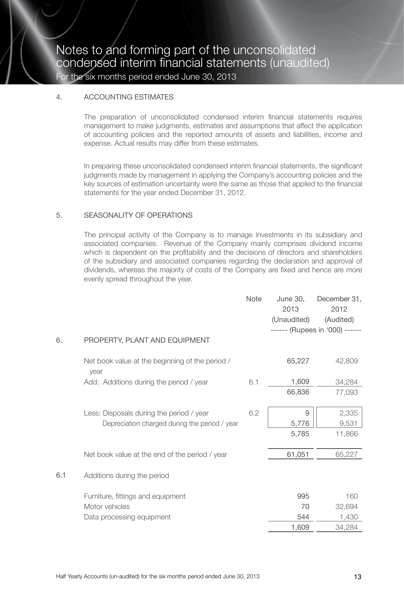#### 4. ACCOUNTING ESTIMATES

The preparation of unconsolidated condensed interim financial statements requires management to make judgments, estimates and assumptions that affect the application of accounting policies and the reported amounts of assets and liabilities, income and expense. Actual results may differ from these estimates.

In preparing these unconsolidated condensed interim financial statements, the significant judgments made by management in applying the Company's accounting policies and the key sources of estimation uncertainty were the same as those that applied to the financial statements for the year ended December 31, 2012.

#### 5. SEASONALITY OF OPERATIONS

The principal activity of the Company is to manage investments in its subsidiary and associated companies. Revenue of the Company mainly comprises dividend income which is dependent on the profitability and the decisions of directors and shareholders of the subsidiary and associated companies regarding the declaration and approval of dividends, whereas the majority of costs of the Company are fixed and hence are more evenly spread throughout the year.

|     | 2013<br>(Unaudited)                                                                                                                                                                                                                                                        | 2012<br>(Audited)<br>------ (Rupees in '000) ------ |
|-----|----------------------------------------------------------------------------------------------------------------------------------------------------------------------------------------------------------------------------------------------------------------------------|-----------------------------------------------------|
|     | 65,227                                                                                                                                                                                                                                                                     | 42,809                                              |
| 6.1 | 1,609<br>66,836                                                                                                                                                                                                                                                            | 34,284<br>77,093                                    |
| 6.2 | 9<br>5,776<br>5,785                                                                                                                                                                                                                                                        | 2,335<br>9,531<br>11,866                            |
|     | 61,051                                                                                                                                                                                                                                                                     | 65,227                                              |
|     |                                                                                                                                                                                                                                                                            |                                                     |
|     | 995<br>70<br>544<br>1,609                                                                                                                                                                                                                                                  | 160<br>32,694<br>1,430<br>34,284                    |
|     | PROPERTY, PLANT AND EQUIPMENT<br>Net book value at the beginning of the period /<br>Add: Additions during the period / year<br>Less: Disposals during the period / year<br>Depreciation charged during the period / year<br>Net book value at the end of the period / year |                                                     |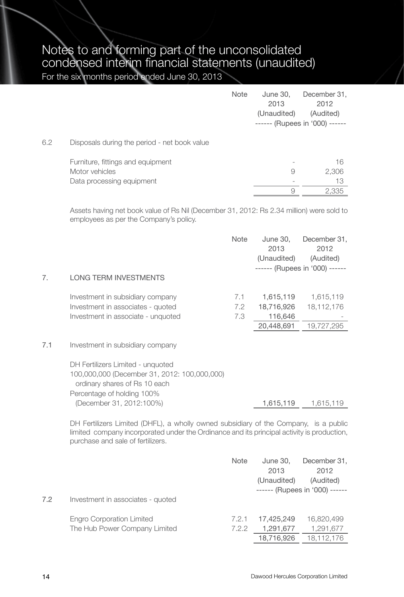|     |                                                     | Note | June 30.<br>2013<br>(Unaudited) | December 31,<br>2012<br>(Audited)<br>------ (Rupees in '000) ------ |
|-----|-----------------------------------------------------|------|---------------------------------|---------------------------------------------------------------------|
| 6.2 | Disposals during the period - net book value        |      |                                 |                                                                     |
|     | Furniture, fittings and equipment<br>Motor vehicles |      | 9                               | 16<br>2,306                                                         |
|     | Data processing equipment                           |      |                                 | 13                                                                  |
|     |                                                     |      | 9                               | 2,335                                                               |

Assets having net book value of Rs Nil (December 31, 2012: Rs 2.34 million) were sold to employees as per the Company's policy.

|     |                                                                               | <b>Note</b> | June 30,<br>2013<br>(Unaudited) | December 31,<br>2012<br>(Audited) |
|-----|-------------------------------------------------------------------------------|-------------|---------------------------------|-----------------------------------|
| 7.  | <b>LONG TERM INVESTMENTS</b>                                                  |             |                                 | ------ (Rupees in '000) ------    |
|     |                                                                               |             |                                 |                                   |
|     | Investment in subsidiary company                                              | 7.1         | 1,615,119                       | 1,615,119                         |
|     | Investment in associates - quoted                                             | 7.2         | 18,716,926                      | 18, 112, 176                      |
|     | Investment in associate - unquoted                                            | 7.3         | 116,646                         |                                   |
|     |                                                                               |             | 20,448,691                      | 19,727,295                        |
| 7.1 | Investment in subsidiary company                                              |             |                                 |                                   |
|     | DH Fertilizers Limited - unquoted                                             |             |                                 |                                   |
|     | 100,000,000 (December 31, 2012: 100,000,000)<br>ordinary shares of Rs 10 each |             |                                 |                                   |
|     | Percentage of holding 100%                                                    |             |                                 |                                   |
|     | (December 31, 2012:100%)                                                      |             | 1,615,119                       | 1.615.119                         |

DH Fertilizers Limited (DHFL), a wholly owned subsidiary of the Company, is a public limited company incorporated under the Ordinance and its principal activity is production, purchase and sale of fertilizers.

| 7.2 | Investment in associates - quoted | Note  | June 30,<br>2013<br>(Unaudited) | December 31,<br>2012<br>(Audited)<br>$----(Rupees in '000)$ $---$ |
|-----|-----------------------------------|-------|---------------------------------|-------------------------------------------------------------------|
|     |                                   |       |                                 |                                                                   |
|     | <b>Engro Corporation Limited</b>  | 7.2.1 | 17.425.249                      | 16,820,499                                                        |
|     | The Hub Power Company Limited     | 7.2.2 | 1,291,677                       | 1,291,677                                                         |
|     |                                   |       | 18,716,926                      | 18,112,176                                                        |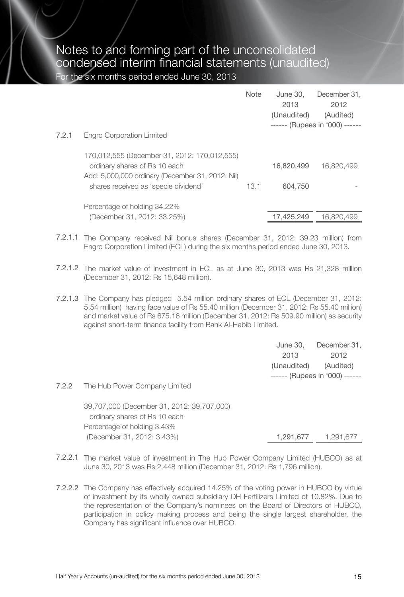|       |                                                                                                                                                                           | Note | June 30,<br>2013<br>(Unaudited) | December 31.<br>2012<br>(Audited)<br>------ (Rupees in '000) ------ |
|-------|---------------------------------------------------------------------------------------------------------------------------------------------------------------------------|------|---------------------------------|---------------------------------------------------------------------|
| 7.2.1 | Engro Corporation Limited                                                                                                                                                 |      |                                 |                                                                     |
|       | 170,012,555 (December 31, 2012: 170,012,555)<br>ordinary shares of Rs 10 each<br>Add: 5,000,000 ordinary (December 31, 2012: Nil)<br>shares received as 'specie dividend' | 13.1 | 16,820,499<br>604.750           | 16,820,499                                                          |
|       | Percentage of holding 34.22%                                                                                                                                              |      |                                 |                                                                     |
|       | (December 31, 2012: 33.25%)                                                                                                                                               |      | 17.425.249                      | 16.820.499                                                          |

- 7.2.1.1 The Company received Nil bonus shares (December 31, 2012: 39.23 million) from Engro Corporation Limited (ECL) during the six months period ended June 30, 2013.
- 7.2.1.2 The market value of investment in ECL as at June 30, 2013 was Rs 21,328 million (December 31, 2012: Rs 15,648 million).
- 7.2.1.3 The Company has pledged 5.54 million ordinary shares of ECL (December 31, 2012: 5.54 million) having face value of Rs 55.40 million (December 31, 2012: Rs 55.40 million) and market value of Rs 675.16 million (December 31, 2012: Rs 509.90 million) as security against short-term finance facility from Bank Al-Habib Limited.

June 30, December 31, 2013 2012 (Unaudited) (Audited) ------ (Rupees in '000) ------

7.2.2 The Hub Power Company Limited

39,707,000 (December 31, 2012: 39,707,000) ordinary shares of Rs 10 each Percentage of holding 3.43% (December 31, 2012: 3.43%) 1,291,677 1,291,677

- 7.2.2.1 The market value of investment in The Hub Power Company Limited (HUBCO) as at June 30, 2013 was Rs 2,448 million (December 31, 2012: Rs 1,796 million).
- 7.2.2.2 The Company has effectively acquired 14.25% of the voting power in HUBCO by virtue of investment by its wholly owned subsidiary DH Fertilizers Limited of 10.82%. Due to the representation of the Company's nominees on the Board of Directors of HUBCO, participation in policy making process and being the single largest shareholder, the Company has significant influence over HUBCO.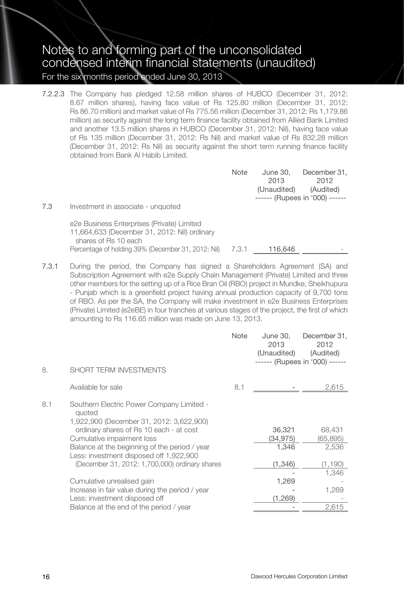7.2.2.3 The Company has pledged 12.58 million shares of HUBCO (December 31, 2012: 8.67 million shares), having face value of Rs 125.80 million (December 31, 2012: Rs 86.70 million) and market value of Rs 775.56 million (December 31, 2012: Rs 1,179.86 million) as security against the long term finance facility obtained from Allied Bank Limited and another 13.5 million shares in HUBCO (December 31, 2012: Nil), having face value of Rs 135 million (December 31, 2012: Rs Nil) and market value of Rs 832.28 million (December 31, 2012: Rs Nil) as security against the short term running finance facility obtained from Bank Al Habib Limited.

| Note | June 30.    | December 31.                   |
|------|-------------|--------------------------------|
|      | 2013        | 2012                           |
|      | (Unaudited) | (Audited)                      |
|      |             | ------ (Rupees in '000) ------ |
|      |             |                                |

7.3 Investment in associate - unquoted

e2e Business Enterprises (Private) Limited 11,664,633 (December 31, 2012: Nil) ordinary shares of Rs 10 each Percentage of holding 39% (December 31, 2012: Nil) 7.3.1 116,646

7.3.1 During the period, the Company has signed a Shareholders Agreement (SA) and Subscription Agreement with e2e Supply Chain Management (Private) Limited and three other members for the setting up of a Rice Bran Oil (RBO) project in Muridke, Sheikhupura - Punjab which is a greenfield project having annual production capacity of 9,700 tons of RBO. As per the SA, the Company will make investment in e2e Business Enterprises (Private) Limited (e2eBE) in four tranches at various stages of the project, the first of which amounting to Rs 116.65 million was made on June 13, 2013.

|                                             |                                                                                                                                  | Note | June 30.<br>2013<br>(Unaudited) | December 31,<br>2012<br>(Audited)<br>------ (Rupees in '000) ------ |
|---------------------------------------------|----------------------------------------------------------------------------------------------------------------------------------|------|---------------------------------|---------------------------------------------------------------------|
| 8.                                          | SHORT TERM INVESTMENTS                                                                                                           |      |                                 |                                                                     |
| Available for sale                          |                                                                                                                                  | 8.1  |                                 | 2,615                                                               |
| 8.1<br>auoted<br>Cumulative impairment loss | Southern Electric Power Company Limited -<br>1,922,900 (December 31, 2012: 3,622,900)<br>ordinary shares of Rs 10 each - at cost |      | 36,321<br>(34,975)              | 68,431<br>(65, 895)                                                 |
|                                             | Balance at the beginning of the period / year<br>Less: investment disposed off 1,922,900                                         |      | 1,346                           | 2,536                                                               |
|                                             | (December 31, 2012: 1,700,000) ordinary shares                                                                                   |      | (1,346)                         | (1,190)<br>1,346                                                    |
| Cumulative unrealised gain                  |                                                                                                                                  |      | 1,269                           |                                                                     |
|                                             | Increase in fair value during the period / year<br>Less: investment disposed off                                                 |      | (1,269)                         | 1,269                                                               |
|                                             | Balance at the end of the period / year                                                                                          |      |                                 | 2,615                                                               |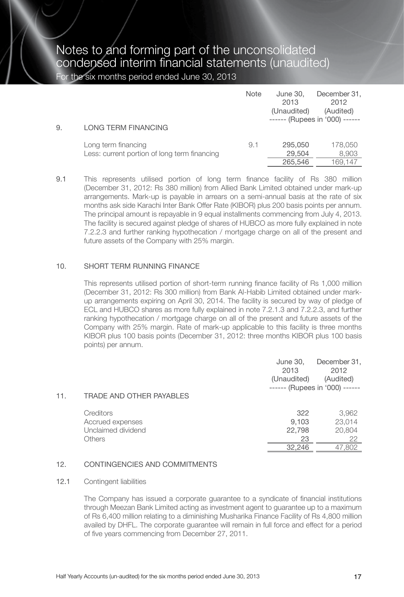| 9. | LONG TERM FINANCING                                                 | Note | June 30,<br>2013<br>(Unaudited) | December 31,<br>2012<br>(Audited)<br>$----(Rupees in '000)$ $---$ |
|----|---------------------------------------------------------------------|------|---------------------------------|-------------------------------------------------------------------|
|    | Long term financing<br>Less: current portion of long term financing | 9.1  | 295.050<br>29.504<br>265.546    | 178,050<br>8,903<br>169.147                                       |

9.1 This represents utilised portion of long term finance facility of Rs 380 million (December 31, 2012: Rs 380 million) from Allied Bank Limited obtained under mark-up arrangements. Mark-up is payable in arrears on a semi-annual basis at the rate of six months ask side Karachi Inter Bank Offer Rate (KIBOR) plus 200 basis points per annum. The principal amount is repayable in 9 equal installments commencing from July 4, 2013. The facility is secured against pledge of shares of HUBCO as more fully explained in note 7.2.2.3 and further ranking hypothecation / mortgage charge on all of the present and future assets of the Company with 25% margin.

#### 10. SHORT TERM RUNNING FINANCE

This represents utilised portion of short-term running finance facility of Rs 1,000 million (December 31, 2012: Rs 300 million) from Bank Al-Habib Limited obtained under markup arrangements expiring on April 30, 2014. The facility is secured by way of pledge of ECL and HUBCO shares as more fully explained in note 7.2.1.3 and 7.2.2.3, and further ranking hypothecation / mortgage charge on all of the present and future assets of the Company with 25% margin. Rate of mark-up applicable to this facility is three months KIBOR plus 100 basis points (December 31, 2012: three months KIBOR plus 100 basis points) per annum.

| 11. | <b>TRADE AND OTHER PAYABLES</b>                               | June 30,<br>2013<br>(Unaudited)        | December 31,<br>2012<br>(Audited)<br>$----(Rupees in '000)$ $---$ |
|-----|---------------------------------------------------------------|----------------------------------------|-------------------------------------------------------------------|
|     | Creditors<br>Accrued expenses<br>Unclaimed dividend<br>Others | 322<br>9,103<br>22,798<br>23<br>32,246 | 3,962<br>23,014<br>20,804<br>22<br>47,802                         |
|     |                                                               |                                        |                                                                   |

#### 12. CONTINGENCIES AND COMMITMENTS

#### 12.1 Contingent liabilities

The Company has issued a corporate guarantee to a syndicate of financial institutions through Meezan Bank Limited acting as investment agent to guarantee up to a maximum of Rs 6,400 million relating to a diminishing Musharika Finance Facility of Rs 4,800 million availed by DHFL. The corporate guarantee will remain in full force and effect for a period of five years commencing from December 27, 2011.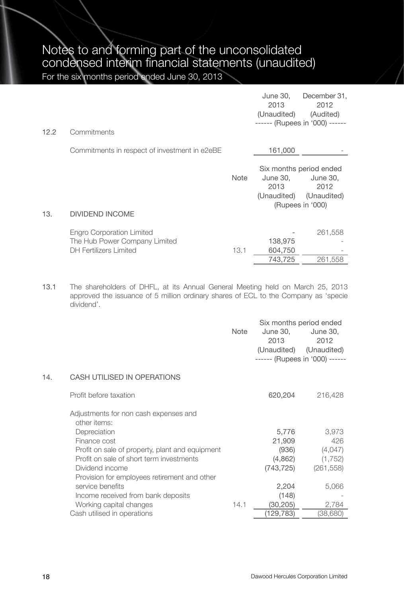| 12.2 | Commitments                                                                                 |             | June 30,<br>2013<br>(Unaudited) | December 31,<br>2012<br>(Audited)<br>------ (Rupees in '000) ------                        |
|------|---------------------------------------------------------------------------------------------|-------------|---------------------------------|--------------------------------------------------------------------------------------------|
|      |                                                                                             |             |                                 |                                                                                            |
|      | Commitments in respect of investment in e2eBE                                               |             | 161,000                         |                                                                                            |
|      |                                                                                             | <b>Note</b> | June 30,<br>2013                | Six months period ended<br>June 30,<br>2012<br>(Unaudited) (Unaudited)<br>(Rupees in '000) |
| 13.  | <b>DIVIDEND INCOME</b>                                                                      |             |                                 |                                                                                            |
|      | Engro Corporation Limited<br>The Hub Power Company Limited<br><b>DH Fertilizers Limited</b> | 13.1        | 138,975<br>604,750              | 261,558                                                                                    |
|      |                                                                                             |             | 743.725                         | 261.558                                                                                    |

13.1 The shareholders of DHFL, at its Annual General Meeting held on March 25, 2013 approved the issuance of 5 million ordinary shares of ECL to the Company as 'specie dividend'.

|     |                                                       | Note | Six months period ended<br>June 30.<br>2013<br>------ (Rupees in '000) ------ | June 30,<br>2012<br>(Unaudited) (Unaudited) |
|-----|-------------------------------------------------------|------|-------------------------------------------------------------------------------|---------------------------------------------|
| 14. | CASH UTILISED IN OPERATIONS                           |      |                                                                               |                                             |
|     | Profit before taxation                                |      | 620,204                                                                       | 216,428                                     |
|     | Adjustments for non cash expenses and<br>other items: |      |                                                                               |                                             |
|     | Depreciation                                          |      | 5,776                                                                         | 3,973                                       |
|     | Finance cost                                          |      | 21,909                                                                        | 426                                         |
|     | Profit on sale of property, plant and equipment       |      | (936)                                                                         | (4,047)                                     |
|     | Profit on sale of short term investments              |      | (4,862)                                                                       | (1,752)                                     |
|     | Dividend income                                       |      | (743, 725)                                                                    | (261, 558)                                  |
|     | Provision for employees retirement and other          |      |                                                                               |                                             |
|     | service benefits                                      |      | 2,204                                                                         | 5,066                                       |
|     | Income received from bank deposits                    |      | (148)                                                                         |                                             |
|     | Working capital changes                               | 14.1 | (30, 205)                                                                     | 2,784                                       |
|     | Cash utilised in operations                           |      | (129,783)                                                                     | (38,680)                                    |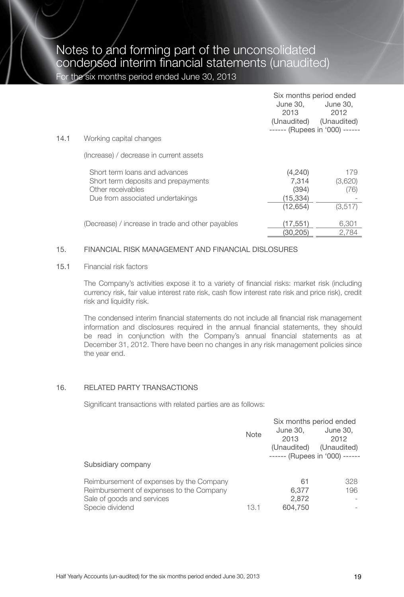|      |                                                                                                                               | Six months period ended<br>June 30.<br>2013<br>(Unaudited)<br>------ (Rupees in '000) ------ | June 30.<br>2012<br>(Unaudited)   |
|------|-------------------------------------------------------------------------------------------------------------------------------|----------------------------------------------------------------------------------------------|-----------------------------------|
| 14.1 | Working capital changes                                                                                                       |                                                                                              |                                   |
|      | (Increase) / decrease in current assets                                                                                       |                                                                                              |                                   |
|      | Short term loans and advances<br>Short term deposits and prepayments<br>Other receivables<br>Due from associated undertakings | (4,240)<br>7.314<br>(394)<br>(15, 334)<br>(12, 654)                                          | 179<br>(3,620)<br>(76)<br>(3,517) |
|      | (Decrease) / increase in trade and other payables                                                                             | (17, 551)<br>(30.205)                                                                        | 6,301<br>2.784                    |

#### 15. FINANCIAL RISK MANAGEMENT AND FINANCIAL DISLOSURES

15.1 Financial risk factors

The Company's activities expose it to a variety of financial risks: market risk (including currency risk, fair value interest rate risk, cash flow interest rate risk and price risk), credit risk and liquidity risk.

The condensed interim financial statements do not include all financial risk management information and disclosures required in the annual financial statements, they should be read in conjunction with the Company's annual financial statements as at December 31, 2012. There have been no changes in any risk management policies since the year end.

#### 16. RELATED PARTY TRANSACTIONS

Significant transactions with related parties are as follows:

|                                          |      | Six months period ended        |             |  |
|------------------------------------------|------|--------------------------------|-------------|--|
|                                          | Note | June 30,                       | June 30,    |  |
|                                          |      | 2013                           | 2012        |  |
|                                          |      | (Unaudited)                    | (Unaudited) |  |
|                                          |      | ------ (Rupees in '000) ------ |             |  |
| Subsidiary company                       |      |                                |             |  |
| Reimbursement of expenses by the Company |      | 61                             | 328         |  |
| Reimbursement of expenses to the Company |      | 6.377                          | 196         |  |
|                                          |      | 2.872                          |             |  |
| Sale of goods and services               |      |                                |             |  |
| Specie dividend                          | 13.1 | 604.750                        |             |  |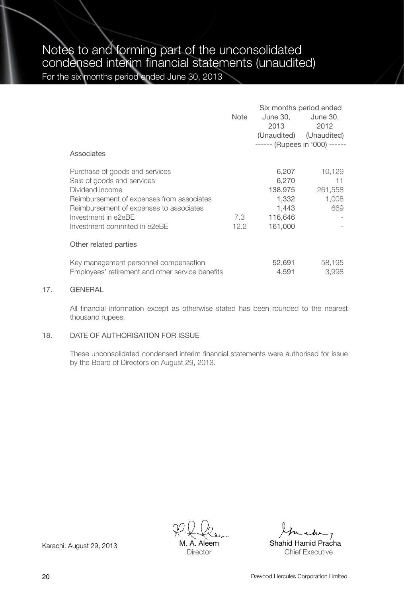|                                                                                           |      | Six months period ended        |                         |  |
|-------------------------------------------------------------------------------------------|------|--------------------------------|-------------------------|--|
|                                                                                           | Note | June 30.                       | June 30,                |  |
|                                                                                           |      | 2013                           | 2012                    |  |
|                                                                                           |      |                                | (Unaudited) (Unaudited) |  |
|                                                                                           |      | ------ (Rupees in '000) ------ |                         |  |
| Associates                                                                                |      |                                |                         |  |
| Purchase of goods and services                                                            |      | 6,207                          | 10,129                  |  |
| Sale of goods and services                                                                |      | 6,270                          | 11                      |  |
| Dividend income                                                                           |      | 138,975                        | 261,558                 |  |
| Reimbursement of expenses from associates                                                 |      | 1,332                          | 1,008                   |  |
| Reimbursement of expenses to associates                                                   |      | 1,443                          | 669                     |  |
| Investment in e2eBE                                                                       | 7.3  | 116,646                        |                         |  |
| Investment commited in e2eBE                                                              | 12.2 | 161,000                        |                         |  |
| Other related parties                                                                     |      |                                |                         |  |
| Key management personnel compensation<br>Employees' retirement and other service benefits |      | 52,691<br>4,591                | 58,195<br>3,998         |  |

#### 17. GENERAL

All financial information except as otherwise stated has been rounded to the nearest thousand rupees.

#### 18. DATE OF AUTHORISATION FOR ISSUE

These unconsolidated condensed interim financial statements were authorised for issue by the Board of Directors on August 29, 2013.

M. A. Aleem **Director** 

Karachi: August 29, 2013 M. A. Aleem Shahid Hamid Pracha Chief Executive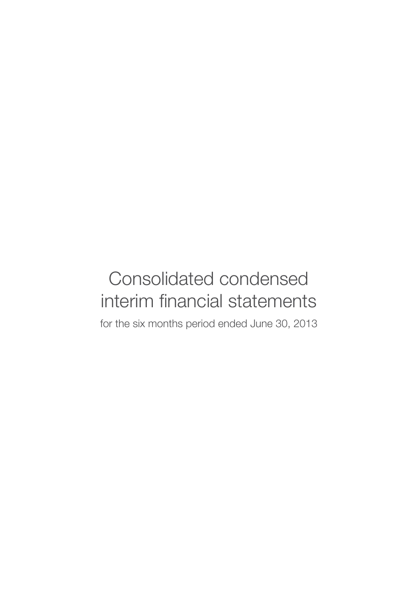## Consolidated condensed interim financial statements

for the six months period ended June 30, 2013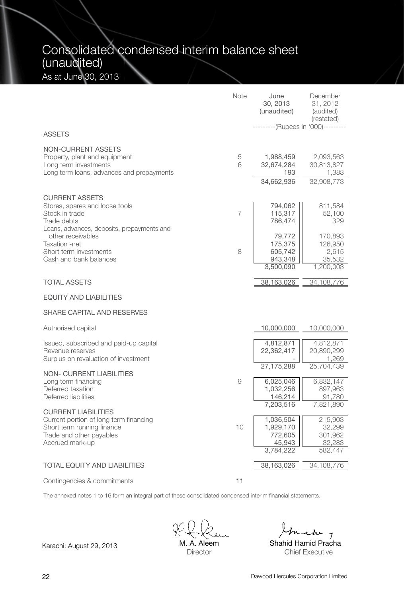## Consolidated condensed interim balance sheet (unaudited) As at June 30, 2013

|                                                                                                                                                   | Note   | June<br>30, 2013<br>(unaudited)                                       | December<br>31, 2012<br>(audited)<br>(restated)<br>-----(Rupees in '000)--------- |
|---------------------------------------------------------------------------------------------------------------------------------------------------|--------|-----------------------------------------------------------------------|-----------------------------------------------------------------------------------|
| <b>ASSETS</b>                                                                                                                                     |        |                                                                       |                                                                                   |
| NON-CURRENT ASSETS<br>Property, plant and equipment<br>Long term investments<br>Long term loans, advances and prepayments                         | 5<br>6 | 1,988,459<br>32,674,284<br>193<br>34,662,936                          | 2,093,563<br>30,813,827<br>1,383<br>32,908,773                                    |
|                                                                                                                                                   |        |                                                                       |                                                                                   |
| <b>CURRENT ASSETS</b><br>Stores, spares and loose tools<br>Stock in trade<br>Trade debts<br>Loans, advances, deposits, prepayments and            | 7      | 794,062<br>115,317<br>786,474                                         | 811,584<br>52,100<br>329                                                          |
| other receivables<br>Taxation -net<br>Short term investments<br>Cash and bank balances                                                            | 8      | 79,772<br>175,375<br>605,742<br>943,348<br>3,500,090                  | 170,893<br>126,950<br>2,615<br>35,532<br>1,200,003                                |
| <b>TOTAL ASSETS</b>                                                                                                                               |        | 38,163,026                                                            | 34,108,776                                                                        |
| <b>EQUITY AND LIABILITIES</b>                                                                                                                     |        |                                                                       |                                                                                   |
| SHARE CAPITAL AND RESERVES                                                                                                                        |        |                                                                       |                                                                                   |
| Authorised capital                                                                                                                                |        | 10,000,000                                                            | 10,000,000                                                                        |
| Issued, subscribed and paid-up capital<br>Revenue reserves<br>Surplus on revaluation of investment                                                |        | 4,812,871<br>22,362,417                                               | 4,812,871<br>20,890,299<br>1,269                                                  |
| <b>NON- CURRENT LIABILITIES</b><br>Long term financing<br>Deferred taxation<br>Deferred liabilities                                               | 9      | 27,175,288<br>6,025,046<br>1,032,256<br>146,214                       | 25,704,439<br>6,832,147<br>897,963<br>91,780                                      |
| <b>CURRENT LIABILITIES</b><br>Current portion of long term financing<br>Short term running finance<br>Trade and other payables<br>Accrued mark-up | 10     | 7,203,516<br>1,036,504<br>1,929,170<br>772,605<br>45,943<br>3,784,222 | 7,821,890<br>215,903<br>32,299<br>301,962<br>32,283<br>582,447                    |
| <b>TOTAL EQUITY AND LIABILITIES</b>                                                                                                               |        | 38,163,026                                                            | 34,108,776                                                                        |
| Contingencies & commitments                                                                                                                       | 11     |                                                                       |                                                                                   |

The annexed notes 1 to 16 form an integral part of these consolidated condensed interim financial statements.

M. A. Aleem **Director** 

Chief Executive

Karachi: August 29, 2013 M. A. Aleem Shahid Hamid Pracha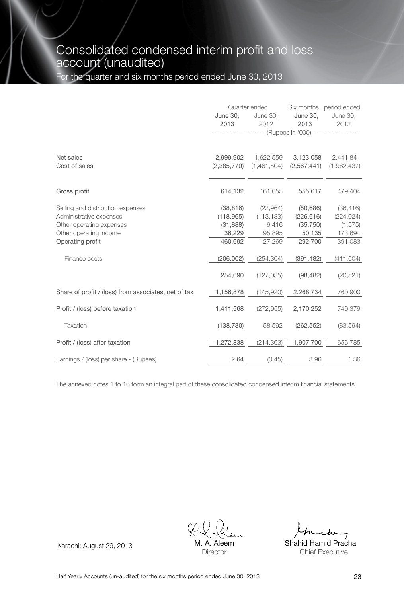## Consolidated condensed interim profit and loss account (unaudited)

For the quarter and six months period ended June 30, 2013

|                                                                                                                                        | June 30.<br>2013                                        | Quarter ended<br>June 30,<br>2012<br>-------------------- (Rupees in '000) ------------- | June 30,<br>2013                                          | Six months period ended<br>June 30,<br>2012               |
|----------------------------------------------------------------------------------------------------------------------------------------|---------------------------------------------------------|------------------------------------------------------------------------------------------|-----------------------------------------------------------|-----------------------------------------------------------|
| Net sales<br>Cost of sales                                                                                                             | 2,999,902<br>(2,385,770)                                | 1,622,559<br>(1,461,504)                                                                 |                                                           | 3,123,058 2,441,841<br>$(2,567,441)$ $(1,962,437)$        |
| Gross profit                                                                                                                           | 614,132                                                 | 161,055                                                                                  | 555,617                                                   | 479,404                                                   |
| Selling and distribution expenses<br>Administrative expenses<br>Other operating expenses<br>Other operating income<br>Operating profit | (38, 816)<br>(118,965)<br>(31,888)<br>36,229<br>460.692 | (22,964)<br>(113, 133)<br>6,416<br>95,895<br>127,269                                     | (50, 686)<br>(226, 616)<br>(35, 750)<br>50,135<br>292,700 | (36, 416)<br>(224, 024)<br>(1, 575)<br>173,694<br>391,083 |
| Finance costs                                                                                                                          | (206, 002)                                              | (254, 304)                                                                               | (391, 182)                                                | (411, 604)                                                |
|                                                                                                                                        | 254.690                                                 | (127, 035)                                                                               | (98, 482)                                                 | (20, 521)                                                 |
| Share of profit / (loss) from associates, net of tax                                                                                   | 1,156,878                                               | (145,920)                                                                                | 2,268,734                                                 | 760,900                                                   |
| Profit / (loss) before taxation                                                                                                        | 1,411,568                                               | (272, 955)                                                                               | 2,170,252                                                 | 740,379                                                   |
| Taxation                                                                                                                               | (138, 730)                                              | 58,592                                                                                   | (262, 552)                                                | (83, 594)                                                 |
| Profit / (loss) after taxation                                                                                                         | 1,272,838                                               | (214, 363)                                                                               | 1,907,700                                                 | 656,785                                                   |
| Earnings / (loss) per share - (Rupees)                                                                                                 | 2.64                                                    | (0.45)                                                                                   | 3.96                                                      | 1.36                                                      |

The annexed notes 1 to 16 form an integral part of these consolidated condensed interim financial statements.

Aleem Director

Karachi: August 29, 2013 M. A. Aleem Shahid Hamid Pracha Chief Executive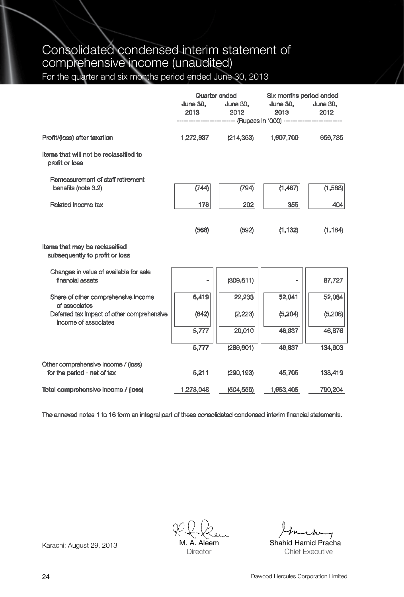## Consolidated condensed interim statement of comprehensive income (unaudited)

For the quarter and six months period ended June 30, 2013

|                                                                    | June 30,<br>2013 — 2013 | Quarter ended<br>June 30,<br>2012<br>------------------------- (Rupees in '000) -------------------------- | Six months period ended<br><b>June 30, June 30,</b><br>2013 2014 | 2012     |
|--------------------------------------------------------------------|-------------------------|------------------------------------------------------------------------------------------------------------|------------------------------------------------------------------|----------|
| Profit/(loss) after taxation                                       | 1,272,837               | (214, 363)                                                                                                 | 1,907,700                                                        | 656,785  |
| Items that will not be reclassified to<br>profit or loss           |                         |                                                                                                            |                                                                  |          |
| Remeasurement of staff retirement<br>benefits (note 3.2)           | (744)                   | (794)                                                                                                      | (1,487)                                                          | (1,588)  |
| Related income tax                                                 | 178                     | 202                                                                                                        | 355                                                              | 404      |
|                                                                    | (566)                   | (592)                                                                                                      | (1, 132)                                                         | (1, 184) |
| Items that may be reclassified<br>subsequently to profit or loss   |                         |                                                                                                            |                                                                  |          |
| Changes in value of available for sale<br>financial assets         |                         | (309, 611)                                                                                                 |                                                                  | 87,727   |
| Share of other comprehensive income<br>of associates               | 6,419                   | 22,233                                                                                                     | 52,041                                                           | 52,084   |
| Deferred tax impact of other comprehensive<br>income of associates | (642)                   | (2, 223)                                                                                                   | (5, 204)                                                         | (5,208)  |
|                                                                    | 5,777                   | 20,010                                                                                                     | 46,837                                                           | 46,876   |
|                                                                    | 5,777                   | (289, 601)                                                                                                 | 46,837                                                           | 134,603  |
| Other comprehensive income / (loss)<br>for the period - net of tax | 5,211                   | (290, 193)                                                                                                 | 45,705                                                           | 133,419  |
| Total comprehensive income / (loss)                                | 1,278,048               | (504, 556)                                                                                                 | 1,953,405                                                        | 790,204  |

The annexed notes 1 to 16 form an integral part of these consolidated condensed interim financial statements.

M. A. Aleem **Director** 

Karachi: August 29, 2013 M. A. Aleem Shahid Hamid Pracha Chief Executive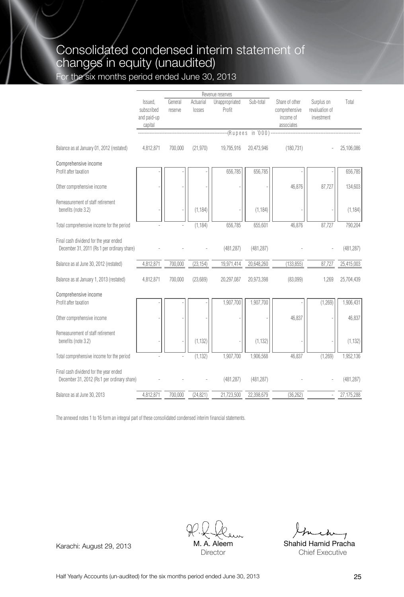## Consolidated condensed interim statement of changes in equity (unaudited)

For the six months period ended June 30, 2013

|                                                                                       |                                                 |                    |                     | Revenue reserves         |                     |                                                            |                                            |            |
|---------------------------------------------------------------------------------------|-------------------------------------------------|--------------------|---------------------|--------------------------|---------------------|------------------------------------------------------------|--------------------------------------------|------------|
|                                                                                       | Issued.<br>subscribed<br>and paid-up<br>capital | General<br>reserve | Actuarial<br>losses | Unappropriated<br>Profit | Sub-total           | Share of other<br>comprehensive<br>income of<br>associates | Surplus on<br>revaluation of<br>investment | Total      |
|                                                                                       |                                                 |                    |                     |                          | $-R$ upees in '000) |                                                            |                                            |            |
| Balance as at January 01, 2012 (restated)                                             | 4,812,871                                       | 700.000            | (21, 970)           | 19,795,916               | 20.473.946          | (180, 731)                                                 |                                            | 25.106.086 |
| Comprehensive income<br>Profit after taxation                                         |                                                 |                    |                     | 656,785                  | 656,785             |                                                            |                                            | 656,785    |
| Other comprehensive income                                                            |                                                 |                    |                     |                          |                     | 46,876                                                     | 87,727                                     | 134,603    |
| Remeasurement of staff retirement<br>benefits (note 3.2)                              |                                                 |                    | (1, 184)            |                          | (1, 184)            |                                                            |                                            | (1, 184)   |
| Total comprehensive income for the period                                             |                                                 |                    | (1, 184)            | 656,785                  | 655,601             | 46,876                                                     | 87,727                                     | 790,204    |
| Final cash dividend for the year ended<br>December 31, 2011 (Rs 1 per ordinary share) |                                                 |                    |                     | (481, 287)               | (481, 287)          |                                                            |                                            | (481, 287) |
| Balance as at June 30, 2012 (restated)                                                | 4,812,871                                       | 700,000            | (23, 154)           | 19,971,414               | 20,648,260          | (133, 855)                                                 | 87,727                                     | 25,415,003 |
| Balance as at January 1, 2013 (restated)                                              | 4,812,871                                       | 700,000            | (23, 689)           | 20,297,087               | 20,973,398          | (83,099)                                                   | 1,269                                      | 25,704,439 |
| Comprehensive income                                                                  |                                                 |                    |                     |                          |                     |                                                            |                                            |            |
| Profit after taxation                                                                 |                                                 |                    |                     | 1,907,700                | 1,907,700           |                                                            | (1,269)                                    | 1,906,431  |
| Other comprehensive income                                                            |                                                 |                    |                     |                          |                     | 46.837                                                     |                                            | 46,837     |
| Remeasurement of staff retirement<br>benefits (note 3.2)                              |                                                 |                    | (1, 132)            |                          | (1, 132)            |                                                            |                                            | (1, 132)   |
| Total comprehensive income for the period                                             |                                                 |                    | (1.132)             | 1.907.700                | 1.906.568           | 46.837                                                     | (1,269)                                    | 1.952.136  |
| Final cash dividend for the year ended<br>December 31, 2012 (Rs 1 per ordinary share) |                                                 |                    |                     | (481, 287)               | (481, 287)          |                                                            |                                            | (481, 287) |
| Balance as at June 30, 2013                                                           | 4.812.871                                       | 700.000            | (24, 821)           | 21.723.500               | 22.398.679          | (36.262)                                                   |                                            | 27,175,288 |

The annexed notes 1 to 16 form an integral part of these consolidated condensed interim financial statements.

M. A. Aleem **Director** 

Karachi: August 29, 2013 M. A. Aleem Shahid Hamid Pracha Chief Executive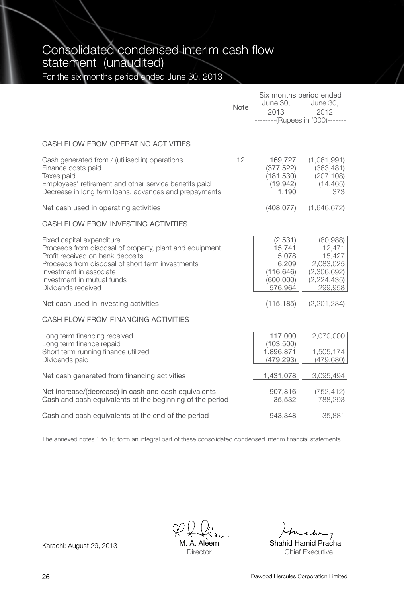Consolidated condensed interim cash flow statement (unaudited)

For the six months period ended June 30, 2013

|                                                                                                                                                                                                                                                             | <b>Note</b> | Six months period ended<br>June 30,<br>2013<br>--------(Rupees in '000)------- | June 30,<br>2012                                                                     |
|-------------------------------------------------------------------------------------------------------------------------------------------------------------------------------------------------------------------------------------------------------------|-------------|--------------------------------------------------------------------------------|--------------------------------------------------------------------------------------|
| CASH FLOW FROM OPERATING ACTIVITIES                                                                                                                                                                                                                         |             |                                                                                |                                                                                      |
| Cash generated from / (utilised in) operations<br>Finance costs paid<br>Taxes paid<br>Employees' retirement and other service benefits paid<br>Decrease in long term loans, advances and prepayments                                                        | 12          | 169,727<br>(377, 522)<br>(181, 530)<br>(19, 942)<br>1,190                      | (1,061,991)<br>(363, 481)<br>(207, 108)<br>(14, 465)<br>373                          |
| Net cash used in operating activities                                                                                                                                                                                                                       |             | (408, 077)                                                                     | (1,646,672)                                                                          |
| CASH FLOW FROM INVESTING ACTIVITIES                                                                                                                                                                                                                         |             |                                                                                |                                                                                      |
| Fixed capital expenditure<br>Proceeds from disposal of property, plant and equipment<br>Profit received on bank deposits<br>Proceeds from disposal of short term investments<br>Investment in associate<br>Investment in mutual funds<br>Dividends received |             | (2,531)<br>15,741<br>5,078<br>6,209<br>(116, 646)<br>(600,000)<br>576,964      | (80,988)<br>12,471<br>15,427<br>2,083,025<br>(2,306,692)<br>(2, 224, 435)<br>299,958 |
| Net cash used in investing activities                                                                                                                                                                                                                       |             | (115, 185)                                                                     | (2,201,234)                                                                          |
| CASH FLOW FROM FINANCING ACTIVITIES                                                                                                                                                                                                                         |             |                                                                                |                                                                                      |
| Long term financing received<br>Long term finance repaid<br>Short term running finance utilized<br>Dividends paid                                                                                                                                           |             | 117,000<br>(103, 500)<br>1,896,871<br>(479, 293)                               | 2,070,000<br>1,505,174<br>(479, 680)                                                 |
| Net cash generated from financing activities                                                                                                                                                                                                                |             | 1,431,078                                                                      | 3,095,494                                                                            |
| Net increase/(decrease) in cash and cash equivalents<br>Cash and cash equivalents at the beginning of the period                                                                                                                                            |             | 907,816<br>35,532                                                              | (752, 412)<br>788,293                                                                |
| Cash and cash equivalents at the end of the period                                                                                                                                                                                                          |             | 943,348                                                                        | 35,881                                                                               |

The annexed notes 1 to 16 form an integral part of these consolidated condensed interim financial statements.

A. Aleem **Director** 

Karachi: August 29, 2013 M. A. Aleem Shahid Hamid Pracha Chief Executive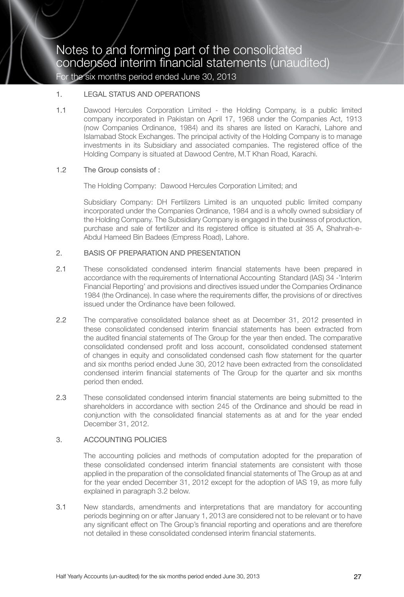#### 1 **LEGAL STATUS AND OPERATIONS**

1.1 Dawood Hercules Corporation Limited - the Holding Company, is a public limited company incorporated in Pakistan on April 17, 1968 under the Companies Act, 1913 (now Companies Ordinance, 1984) and its shares are listed on Karachi, Lahore and Islamabad Stock Exchanges. The principal activity of the Holding Company is to manage investments in its Subsidiary and associated companies. The registered office of the Holding Company is situated at Dawood Centre, M.T Khan Road, Karachi.

#### 1.2 The Group consists of :

The Holding Company: Dawood Hercules Corporation Limited; and

Subsidiary Company: DH Fertilizers Limited is an unquoted public limited company incorporated under the Companies Ordinance, 1984 and is a wholly owned subsidiary of the Holding Company. The Subsidiary Company is engaged in the business of production, purchase and sale of fertilizer and its registered office is situated at 35 A, Shahrah-e-Abdul Hameed Bin Badees (Empress Road), Lahore.

#### 2. BASIS OF PREPARATION AND PRESENTATION

- 2.1 These consolidated condensed interim financial statements have been prepared in accordance with the requirements of International Accounting Standard (IAS) 34 -'Interim Financial Reporting' and provisions and directives issued under the Companies Ordinance 1984 (the Ordinance). In case where the requirements differ, the provisions of or directives issued under the Ordinance have been followed.
- 2.2 The comparative consolidated balance sheet as at December 31, 2012 presented in these consolidated condensed interim financial statements has been extracted from the audited financial statements of The Group for the year then ended. The comparative consolidated condensed profit and loss account, consolidated condensed statement of changes in equity and consolidated condensed cash flow statement for the quarter and six months period ended June 30, 2012 have been extracted from the consolidated condensed interim financial statements of The Group for the quarter and six months period then ended.
- 2.3 These consolidated condensed interim financial statements are being submitted to the shareholders in accordance with section 245 of the Ordinance and should be read in conjunction with the consolidated financial statements as at and for the year ended December 31, 2012.

#### 3. ACCOUNTING POLICIES

The accounting policies and methods of computation adopted for the preparation of these consolidated condensed interim financial statements are consistent with those applied in the preparation of the consolidated financial statements of The Group as at and for the year ended December 31, 2012 except for the adoption of IAS 19, as more fully explained in paragraph 3.2 below.

3.1 New standards, amendments and interpretations that are mandatory for accounting periods beginning on or after January 1, 2013 are considered not to be relevant or to have any significant effect on The Group's financial reporting and operations and are therefore not detailed in these consolidated condensed interim financial statements.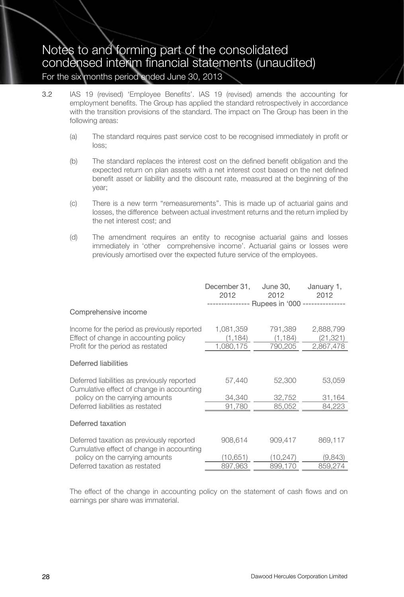- 3.2 IAS 19 (revised) 'Employee Benefits'. IAS 19 (revised) amends the accounting for employment benefits. The Group has applied the standard retrospectively in accordance with the transition provisions of the standard. The impact on The Group has been in the following areas:
	- (a) The standard requires past service cost to be recognised immediately in profit or loss;
	- (b) The standard replaces the interest cost on the defined benefit obligation and the expected return on plan assets with a net interest cost based on the net defined benefit asset or liability and the discount rate, measured at the beginning of the year;
	- (c) There is a new term ''remeasurements''. This is made up of actuarial gains and losses, the difference between actual investment returns and the return implied by the net interest cost; and
	- (d) The amendment requires an entity to recognise actuarial gains and losses immediately in 'other comprehensive income'. Actuarial gains or losses were previously amortised over the expected future service of the employees.

|                                                                                                                            | December 31,<br>2012               | June 30,<br>2012<br>-------------- Rupees in '000 --------------- | January 1,<br>2012                  |
|----------------------------------------------------------------------------------------------------------------------------|------------------------------------|-------------------------------------------------------------------|-------------------------------------|
| Comprehensive income                                                                                                       |                                    |                                                                   |                                     |
| Income for the period as previously reported<br>Effect of change in accounting policy<br>Profit for the period as restated | 1,081,359<br>(1, 184)<br>1,080,175 | 791,389<br>(1, 184)<br>790,205                                    | 2,888,799<br>(21, 321)<br>2,867,478 |
| Deferred liabilities                                                                                                       |                                    |                                                                   |                                     |
| Deferred liabilities as previously reported<br>Cumulative effect of change in accounting                                   | 57,440                             | 52,300                                                            | 53,059                              |
| policy on the carrying amounts<br>Deferred liabilities as restated                                                         | 34,340<br>91.780                   | 32,752<br>85,052                                                  | 31,164<br>84,223                    |
| Deferred taxation                                                                                                          |                                    |                                                                   |                                     |
| Deferred taxation as previously reported<br>Cumulative effect of change in accounting                                      | 908,614                            | 909,417                                                           | 869,117                             |
| policy on the carrying amounts                                                                                             | (10,651)                           | (10, 247)                                                         | (9,843)                             |
| Deferred taxation as restated                                                                                              | 897,963                            | 899.170                                                           | 859,274                             |

The effect of the change in accounting policy on the statement of cash flows and on earnings per share was immaterial.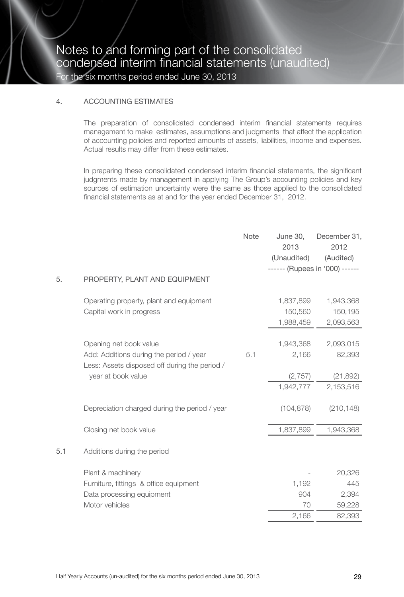#### 4. ACCOUNTING ESTIMATES

The preparation of consolidated condensed interim financial statements requires management to make estimates, assumptions and judgments that affect the application of accounting policies and reported amounts of assets, liabilities, income and expenses. Actual results may differ from these estimates.

In preparing these consolidated condensed interim financial statements, the significant judgments made by management in applying The Group's accounting policies and key sources of estimation uncertainty were the same as those applied to the consolidated financial statements as at and for the year ended December 31, 2012.

|     |                                                                                                                                          | Note | June 30,<br>2013<br>(Unaudited)<br>------ (Rupees in '000) ------ | December 31,<br>2012<br>(Audited)             |
|-----|------------------------------------------------------------------------------------------------------------------------------------------|------|-------------------------------------------------------------------|-----------------------------------------------|
| 5.  | PROPERTY, PLANT AND EQUIPMENT                                                                                                            |      |                                                                   |                                               |
|     | Operating property, plant and equipment<br>Capital work in progress                                                                      |      | 1,837,899<br>150,560<br>1,988,459                                 | 1,943,368<br>150,195<br>2,093,563             |
|     | Opening net book value<br>Add: Additions during the period / year<br>Less: Assets disposed off during the period /<br>year at book value | 5.1  | 1,943,368<br>2,166<br>(2,757)<br>1,942,777                        | 2,093,015<br>82,393<br>(21, 892)<br>2,153,516 |
|     | Depreciation charged during the period / year                                                                                            |      | (104, 878)                                                        | (210, 148)                                    |
|     | Closing net book value                                                                                                                   |      | 1,837,899                                                         | 1,943,368                                     |
| 5.1 | Additions during the period                                                                                                              |      |                                                                   |                                               |
|     | Plant & machinery<br>Furniture, fittings & office equipment<br>Data processing equipment<br>Motor vehicles                               |      | 1,192<br>904<br>70<br>2,166                                       | 20,326<br>445<br>2,394<br>59,228<br>82,393    |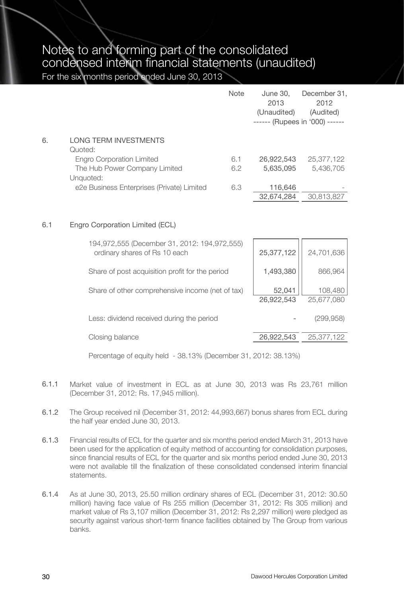|    |                                            | Note | June 30.<br>2013<br>(Unaudited)<br>------ (Rupees in '000) ------ | December 31,<br>2012<br>(Audited) |
|----|--------------------------------------------|------|-------------------------------------------------------------------|-----------------------------------|
| 6. | <b>LONG TERM INVESTMENTS</b>               |      |                                                                   |                                   |
|    | Quoted:                                    |      |                                                                   |                                   |
|    | Engro Corporation Limited                  | 6.1  | 26,922,543                                                        | 25,377,122                        |
|    | The Hub Power Company Limited              | 6.2  | 5.635.095                                                         | 5.436.705                         |
|    | Unquoted:                                  |      |                                                                   |                                   |
|    | e2e Business Enterprises (Private) Limited | 6.3  | 116,646                                                           |                                   |
|    |                                            |      | 32.674.284                                                        | 30.813.827                        |

#### 6.1 Engro Corporation Limited (ECL)

| 194,972,555 (December 31, 2012: 194,972,555)<br>ordinary shares of Rs 10 each | 25,377,122           | 24,701,636            |
|-------------------------------------------------------------------------------|----------------------|-----------------------|
| Share of post acquisition profit for the period                               | 1,493,380            | 866.964               |
| Share of other comprehensive income (net of tax)                              | 52,041<br>26,922,543 | 108,480<br>25,677,080 |
| Less: dividend received during the period                                     |                      | (299,958)             |
| Closing balance                                                               | 26,922,543           | 25,377,122            |

Percentage of equity held - 38.13% (December 31, 2012: 38.13%)

- 6.1.1 Market value of investment in ECL as at June 30, 2013 was Rs 23,761 million (December 31, 2012: Rs. 17,945 million).
- 6.1.2 The Group received nil (December 31, 2012: 44,993,667) bonus shares from ECL during the half year ended June 30, 2013.
- 6.1.3 Financial results of ECL for the quarter and six months period ended March 31, 2013 have been used for the application of equity method of accounting for consolidation purposes, since financial results of ECL for the quarter and six months period ended June 30, 2013 were not available till the finalization of these consolidated condensed interim financial statements.
- 6.1.4 As at June 30, 2013, 25.50 million ordinary shares of ECL (December 31, 2012: 30.50 million) having face value of Rs 255 million (December 31, 2012: Rs 305 million) and market value of Rs 3,107 million (December 31, 2012: Rs 2,297 million) were pledged as security against various short-term finance facilities obtained by The Group from various banks.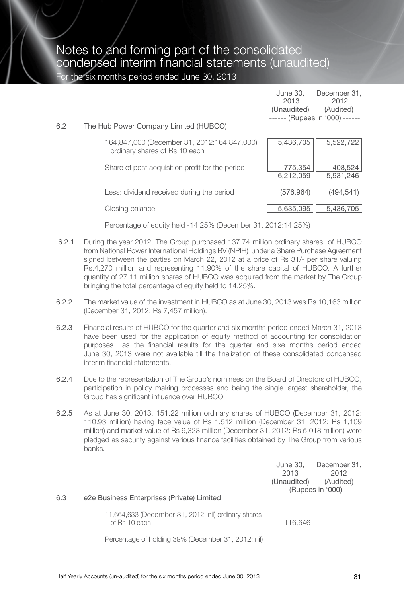|     |                                                                              | June 30.<br>2013<br>(Unaudited) | December 31,<br>2012<br>(Audited)<br>------ (Rupees in '000) ------ |
|-----|------------------------------------------------------------------------------|---------------------------------|---------------------------------------------------------------------|
| 6.2 | The Hub Power Company Limited (HUBCO)                                        |                                 |                                                                     |
|     | 164,847,000 (December 31, 2012:164,847,000)<br>ordinary shares of Rs 10 each | 5,436,705                       | 5,522,722                                                           |
|     | Share of post acquisition profit for the period                              | 775.354<br>6.212.059            | 408,524<br>5,931,246                                                |
|     | Less: dividend received during the period                                    | (576, 964)                      | (494, 541)                                                          |
|     | Closing balance                                                              | 5,635,095                       | 5.436.705                                                           |

Percentage of equity held -14.25% (December 31, 2012:14.25%)

- 6.2.1 During the year 2012, The Group purchased 137.74 million ordinary shares of HUBCO from National Power International Holdings BV (NPIH) under a Share Purchase Agreement signed between the parties on March 22, 2012 at a price of Rs 31/- per share valuing Rs.4,270 million and representing 11.90% of the share capital of HUBCO. A further quantity of 27.11 million shares of HUBCO was acquired from the market by The Group bringing the total percentage of equity held to 14.25%.
- 6.2.2 The market value of the investment in HUBCO as at June 30, 2013 was Rs 10,163 million (December 31, 2012: Rs 7,457 million).
- 6.2.3 Financial results of HUBCO for the quarter and six months period ended March 31, 2013 have been used for the application of equity method of accounting for consolidation purposes as the financial results for the quarter and sixe months period ended June 30, 2013 were not available till the finalization of these consolidated condensed interim financial statements.
- 6.2.4 Due to the representation of The Group's nominees on the Board of Directors of HUBCO, participation in policy making processes and being the single largest shareholder, the Group has significant influence over HUBCO.
- 6.2.5 As at June 30, 2013, 151.22 million ordinary shares of HUBCO (December 31, 2012: 110.93 million) having face value of Rs 1,512 million (December 31, 2012: Rs 1,109 million) and market value of Rs 9,323 million (December 31, 2012: Rs 5,018 million) were pledged as security against various finance facilities obtained by The Group from various banks.

| June 30.    | December 31.                   |
|-------------|--------------------------------|
| 2013        | 2012                           |
| (Unaudited) | (Audited)                      |
|             | ------ (Rupees in '000) ------ |

#### 6.3 e2e Business Enterprises (Private) Limited

11,664,633 (December 31, 2012: nil) ordinary shares of Rs 10 each

| 116.646 |
|---------|
|---------|

Percentage of holding 39% (December 31, 2012: nil)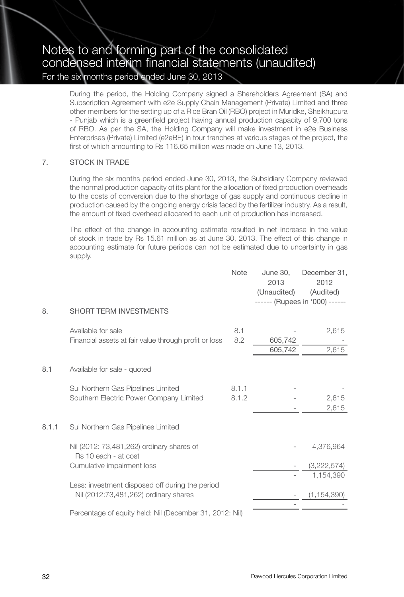During the period, the Holding Company signed a Shareholders Agreement (SA) and Subscription Agreement with e2e Supply Chain Management (Private) Limited and three other members for the setting up of a Rice Bran Oil (RBO) project in Muridke, Sheikhupura - Punjab which is a greenfield project having annual production capacity of 9,700 tons of RBO. As per the SA, the Holding Company will make investment in e2e Business Enterprises (Private) Limited (e2eBE) in four tranches at various stages of the project, the first of which amounting to Rs 116.65 million was made on June 13, 2013.

#### 7. STOCK IN TRADE

During the six months period ended June 30, 2013, the Subsidiary Company reviewed the normal production capacity of its plant for the allocation of fixed production overheads to the costs of conversion due to the shortage of gas supply and continuous decline in production caused by the ongoing energy crisis faced by the fertilizer industry. As a result, the amount of fixed overhead allocated to each unit of production has increased.

The effect of the change in accounting estimate resulted in net increase in the value of stock in trade by Rs 15.61 million as at June 30, 2013. The effect of this change in accounting estimate for future periods can not be estimated due to uncertainty in gas supply.

|       |                                                                               | <b>Note</b>    | June 30,<br>2013<br>(Unaudited) | December 31,<br>2012<br>(Audited)<br>------ (Rupees in '000) ------ |
|-------|-------------------------------------------------------------------------------|----------------|---------------------------------|---------------------------------------------------------------------|
| 8.    | <b>SHORT TERM INVESTMENTS</b>                                                 |                |                                 |                                                                     |
|       | Available for sale<br>Financial assets at fair value through profit or loss   | 8.1<br>8.2     | 605,742<br>605,742              | 2,615<br>2,615                                                      |
| 8.1   | Available for sale - quoted                                                   |                |                                 |                                                                     |
|       | Sui Northern Gas Pipelines Limited<br>Southern Electric Power Company Limited | 8.1.1<br>8.1.2 |                                 | 2,615<br>2,615                                                      |
| 8.1.1 | Sui Northern Gas Pipelines Limited                                            |                |                                 |                                                                     |
|       | Nil (2012: 73,481,262) ordinary shares of<br>Rs 10 each - at cost             |                |                                 | 4,376,964                                                           |
|       | Cumulative impairment loss                                                    |                |                                 | (3,222,574)                                                         |
|       | Less: investment disposed off during the period                               |                |                                 | 1,154,390                                                           |
|       | Nil (2012:73,481,262) ordinary shares                                         |                |                                 | (1, 154, 390)                                                       |
|       | Percentage of equity held: Nil (December 31, 2012: Nil)                       |                |                                 |                                                                     |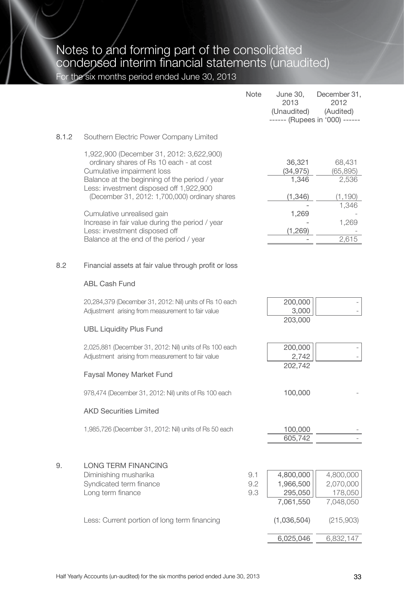|       |                                                                                                                                                                                                                                                                                                                                                                                                                              | <b>Note</b>       | June 30,<br>2013<br>(Unaudited)                             | December 31.<br>2012<br>(Audited)<br>------ (Rupees in '000) ------ |
|-------|------------------------------------------------------------------------------------------------------------------------------------------------------------------------------------------------------------------------------------------------------------------------------------------------------------------------------------------------------------------------------------------------------------------------------|-------------------|-------------------------------------------------------------|---------------------------------------------------------------------|
| 8.1.2 | Southern Electric Power Company Limited                                                                                                                                                                                                                                                                                                                                                                                      |                   |                                                             |                                                                     |
|       | 1,922,900 (December 31, 2012: 3,622,900)<br>ordinary shares of Rs 10 each - at cost<br>Cumulative impairment loss<br>Balance at the beginning of the period / year<br>Less: investment disposed off 1,922,900<br>(December 31, 2012: 1,700,000) ordinary shares<br>Cumulative unrealised gain<br>Increase in fair value during the period / year<br>Less: investment disposed off<br>Balance at the end of the period / year |                   | 36,321<br>(34, 975)<br>1.346<br>(1,346)<br>1,269<br>(1,269) | 68,431<br>(65, 895)<br>2,536<br>(1, 190)<br>1,346<br>1,269<br>2,615 |
| 8.2   | Financial assets at fair value through profit or loss                                                                                                                                                                                                                                                                                                                                                                        |                   |                                                             |                                                                     |
|       | <b>ABL Cash Fund</b>                                                                                                                                                                                                                                                                                                                                                                                                         |                   |                                                             |                                                                     |
|       | 20,284,379 (December 31, 2012: Nil) units of Rs 10 each<br>Adjustment arising from measurement to fair value                                                                                                                                                                                                                                                                                                                 |                   | 200,000<br>3,000                                            |                                                                     |
|       | <b>UBL Liquidity Plus Fund</b>                                                                                                                                                                                                                                                                                                                                                                                               |                   | 203,000                                                     |                                                                     |
|       | 2,025,881 (December 31, 2012: Nil) units of Rs 100 each<br>Adjustment arising from measurement to fair value                                                                                                                                                                                                                                                                                                                 |                   | 200,000<br>2,742<br>202,742                                 |                                                                     |
|       | <b>Faysal Money Market Fund</b>                                                                                                                                                                                                                                                                                                                                                                                              |                   |                                                             |                                                                     |
|       | 978,474 (December 31, 2012: Nil) units of Rs 100 each                                                                                                                                                                                                                                                                                                                                                                        |                   | 100,000                                                     |                                                                     |
|       | <b>AKD Securities Limited</b>                                                                                                                                                                                                                                                                                                                                                                                                |                   |                                                             |                                                                     |
|       | 1,985,726 (December 31, 2012: Nil) units of Rs 50 each                                                                                                                                                                                                                                                                                                                                                                       |                   | 100,000<br>605,742                                          |                                                                     |
| 9.    | LONG TERM FINANCING<br>Diminishing musharika<br>Syndicated term finance<br>Long term finance                                                                                                                                                                                                                                                                                                                                 | 9.1<br>9.2<br>9.3 | 4,800,000<br>1,966,500<br>295,050<br>7,061,550              | 4,800,000<br>2,070,000<br>178,050<br>7,048,050                      |
|       | Less: Current portion of long term financing                                                                                                                                                                                                                                                                                                                                                                                 |                   | (1,036,504)                                                 | (215,903)                                                           |
|       |                                                                                                                                                                                                                                                                                                                                                                                                                              |                   | 6,025,046                                                   | 6,832,147                                                           |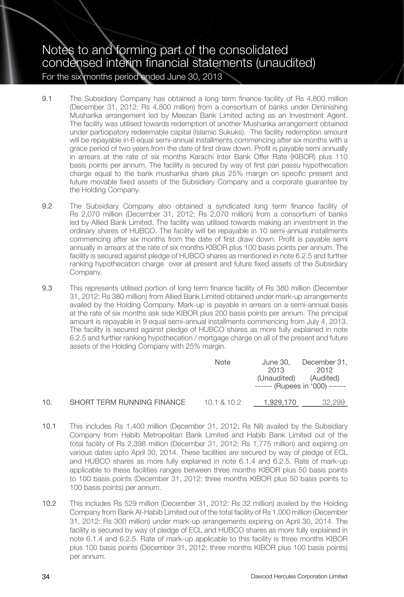- 9.1 The Subsidiary Company has obtained a long term finance facility of Rs 4,800 million (December 31, 2012: Rs 4,800 million) from a consortium of banks under Diminishing Musharika arrangement led by Meezan Bank Limited acting as an Investment Agent. The facility was utilised towards redemption of another Musharika arrangement obtained under participatory redeemable capital (Islamic Sukuks). The facility redemption amount will be repayable in 6 equal semi-annual installments commencing after six months with a grace period of two years from the date of first draw down. Profit is payable semi annually in arrears at the rate of six months Karachi Inter Bank Offer Rate (KIBOR) plus 110 basis points per annum. The facility is secured by way of first pari passu hypothecation charge equal to the bank musharika share plus 25% margin on specific present and future movable fixed assets of the Subsidiary Company and a corporate guarantee by the Holding Company.
- 9.2 The Subsidiary Company also obtained a syndicated long term finance facility of Rs 2,070 million (December 31, 2012: Rs 2,070 million) from a consortium of banks led by Allied Bank Limited. The facility was utilised towards making an investment in the ordinary shares of HUBCO. The facility will be repayable in 10 semi-annual installments commencing after six months from the date of first draw down. Profit is payable semi annually in arrears at the rate of six months KIBOR plus 100 basis points per annum. The facility is secured against pledge of HUBCO shares as mentioned in note 6.2.5 and further ranking hypothecation charge over all present and future fixed assets of the Subsidiary Company.
- 9.3 This represents utilised portion of long term finance facility of Rs 380 million (December 31, 2012: Rs 380 million) from Allied Bank Limited obtained under mark-up arrangements availed by the Holding Company. Mark-up is payable in arrears on a semi-annual basis at the rate of six months ask side KIBOR plus 200 basis points per annum. The principal amount is repayable in 9 equal semi-annual installments commencing from July 4, 2013. The facility is secured against pledge of HUBCO shares as more fully explained in note 6.2.5 and further ranking hypothecation / mortgage charge on all of the present and future assets of the Holding Company with 25% margin.

|     |                            | Note        | June 30.<br>2013<br>(Unaudited) | December 31.<br>2012<br>(Audited)<br>------ (Rupees in '000) ------ |
|-----|----------------------------|-------------|---------------------------------|---------------------------------------------------------------------|
| 10. | SHORT TERM RUNNING FINANCE | 10.1 & 10.2 | 1.929.170                       | 32.299                                                              |

- 10.1 This includes Rs 1,400 million (December 31, 2012: Rs Nil) availed by the Subsidiary Company from Habib Metropolitan Bank Limited and Habib Bank Limited out of the total facility of Rs 2,398 million (December 31, 2012: Rs 1,775 million) and expiring on various dates upto April 30, 2014. These facilities are secured by way of pledge of ECL and HUBCO shares as more fully explained in note 6.1.4 and 6.2.5. Rate of mark-up applicable to these facilities ranges between three months KIBOR plus 50 basis points to 100 basis points (December 31, 2012: three months KIBOR plus 50 basis points to 100 basis points) per annum.
- 10.2 This includes Rs 529 million (December 31, 2012: Rs 32 million) availed by the Holding Company from Bank Al-Habib Limited out of the total facility of Rs 1,000 million (December 31, 2012: Rs 300 million) under mark-up arrangements expiring on April 30, 2014. The facility is secured by way of pledge of ECL and HUBCO shares as more fully explained in note 6.1.4 and 6.2.5. Rate of mark-up applicable to this facility is three months KIBOR plus 100 basis points (December 31, 2012: three months KIBOR plus 100 basis points) per annum.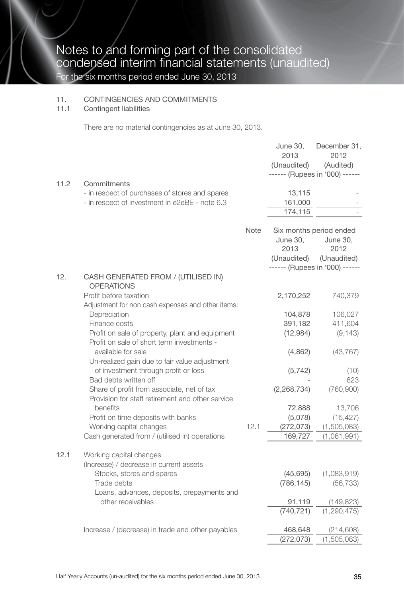#### 11. CONTINGENCIES AND COMMITMENTS

#### 11.1 Contingent liabilities

There are no material contingencies as at June 30, 2013.

|      |                                                                                                                         |      | June 30,<br>2013<br>(Unaudited) | December 31,<br>2012<br>(Audited)                                                            |
|------|-------------------------------------------------------------------------------------------------------------------------|------|---------------------------------|----------------------------------------------------------------------------------------------|
|      |                                                                                                                         |      |                                 | ------ (Rupees in '000) ------                                                               |
| 11.2 | Commitments<br>- in respect of purchases of stores and spares<br>- in respect of investment in e2eBE - note 6.3         |      | 13,115<br>161,000<br>174,115    |                                                                                              |
|      |                                                                                                                         | Note | June 30,<br>2013<br>(Unaudited) | Six months period ended<br>June 30,<br>2012<br>(Unaudited)<br>------ (Rupees in '000) ------ |
| 12.  | CASH GENERATED FROM / (UTILISED IN)<br><b>OPERATIONS</b>                                                                |      |                                 |                                                                                              |
|      | Profit before taxation<br>Adjustment for non cash expenses and other items:                                             |      | 2,170,252                       | 740,379                                                                                      |
|      | Depreciation                                                                                                            |      | 104,878                         | 106,027                                                                                      |
|      | Finance costs<br>Profit on sale of property, plant and equipment                                                        |      | 391,182<br>(12,984)             | 411,604<br>(9, 143)                                                                          |
|      | Profit on sale of short term investments -<br>available for sale<br>Un-realized gain due to fair value adjustment       |      | (4,862)                         | (43, 767)                                                                                    |
|      | of investment through profit or loss                                                                                    |      | (5, 742)                        | (10)                                                                                         |
|      | Bad debts written off<br>Share of profit from associate, net of tax<br>Provision for staff retirement and other service |      | (2, 268, 734)                   | 623<br>(760, 900)                                                                            |
|      | benefits<br>Profit on time deposits with banks                                                                          |      | 72,888<br>(5,078)               | 13,706<br>(15, 427)                                                                          |
|      | Working capital changes                                                                                                 | 12.1 | (272, 073)                      | (1,505,083)                                                                                  |
|      | Cash generated from / (utilised in) operations                                                                          |      | 169,727                         | (1,061,991)                                                                                  |
| 12.1 | Working capital changes<br>(Increase) / decrease in current assets                                                      |      |                                 |                                                                                              |
|      | Stocks, stores and spares                                                                                               |      | (45, 695)                       | (1,083,919)                                                                                  |
|      | Trade debts<br>Loans, advances, deposits, prepayments and                                                               |      | (786, 145)                      | (56, 733)                                                                                    |
|      | other receivables                                                                                                       |      | 91,119                          | (149, 823)                                                                                   |
|      |                                                                                                                         |      | (740, 721)                      | (1, 290, 475)                                                                                |
|      | Increase / (decrease) in trade and other payables                                                                       |      | 468,648                         | (214, 608)                                                                                   |
|      |                                                                                                                         |      | (272, 073)                      | (1,505,083)                                                                                  |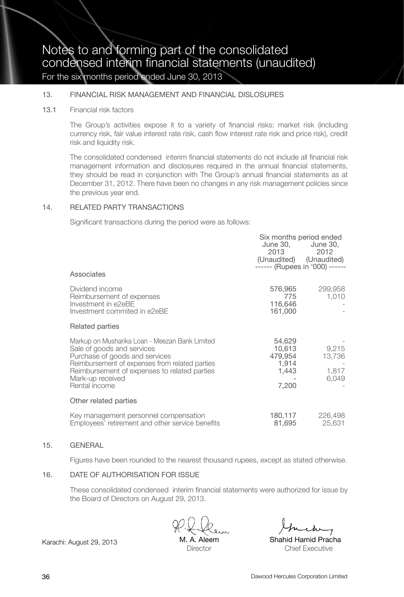#### 13. FINANCIAL RISK MANAGEMENT AND FINANCIAL DISLOSURES

#### 13.1 Financial risk factors

The Group's activities expose it to a variety of financial risks: market risk (including currency risk, fair value interest rate risk, cash flow interest rate risk and price risk), credit risk and liquidity risk.

The consolidated condensed interim financial statements do not include all financial risk management information and disclosures required in the annual financial statements, they should be read in conjunction with The Group's annual financial statements as at December 31, 2012. There have been no changes in any risk management policies since the previous year end.

#### 14. RELATED PARTY TRANSACTIONS

Significant transactions during the period were as follows:

| Associates                                                                                                                                                                                                                                            | June 30.<br>2013<br>------ (Rupees in '000) ------     | Six months period ended<br>June 30.<br>2012<br>(Unaudited) (Unaudited) |
|-------------------------------------------------------------------------------------------------------------------------------------------------------------------------------------------------------------------------------------------------------|--------------------------------------------------------|------------------------------------------------------------------------|
| Dividend income<br>Reimbursement of expenses<br>Investment in e2eBE<br>Investment commited in e2eBE                                                                                                                                                   | 576,965<br>775<br>116,646<br>161,000                   | 299,958<br>1,010                                                       |
| Related parties                                                                                                                                                                                                                                       |                                                        |                                                                        |
| Markup on Musharika Loan - Meezan Bank Limited<br>Sale of goods and services<br>Purchase of goods and services<br>Reimbursement of expenses from related parties<br>Reimbursement of expenses to related parties<br>Mark-up received<br>Rental income | 54,629<br>10,613<br>479,954<br>1.914<br>1,443<br>7,200 | 9,215<br>13,736<br>1,817<br>6,049                                      |
| Other related parties                                                                                                                                                                                                                                 |                                                        |                                                                        |
| Key management personnel compensation<br>Employees' retirement and other service benefits                                                                                                                                                             | 180,117<br>81,695                                      | 226,498<br>25,631                                                      |

#### 15. GENERAL

Figures have been rounded to the nearest thousand rupees, except as stated otherwise.

#### 16. DATE OF AUTHORISATION FOR ISSUE

These consolidated condensed interim financial statements were authorized for issue by the Board of Directors on August 29, 2013.

M. A. Aleem **Director** 

Karachi: August 29, 2013 **M.A. Aleem** Shahid Hamid Pracha Chief Executive